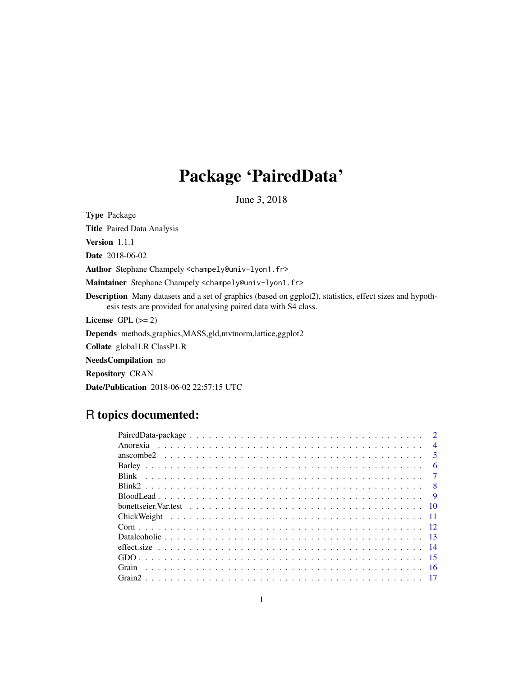# Package 'PairedData'

June 3, 2018

<span id="page-0-0"></span>Type Package Title Paired Data Analysis Version 1.1.1 Date 2018-06-02 Author Stephane Champely <champely@univ-lyon1.fr> Maintainer Stephane Champely <champely@univ-lyon1.fr> Description Many datasets and a set of graphics (based on ggplot2), statistics, effect sizes and hypothesis tests are provided for analysing paired data with S4 class. License GPL  $(>= 2)$ Depends methods,graphics,MASS,gld,mvtnorm,lattice,ggplot2 Collate global1.R ClassP1.R NeedsCompilation no Repository CRAN

Date/Publication 2018-06-02 22:57:15 UTC

# R topics documented:

|                                                                                                                     |  |  |  |  |  |  |  |  |  |  |  |  |  |  |  |  |  | $\overline{4}$          |
|---------------------------------------------------------------------------------------------------------------------|--|--|--|--|--|--|--|--|--|--|--|--|--|--|--|--|--|-------------------------|
|                                                                                                                     |  |  |  |  |  |  |  |  |  |  |  |  |  |  |  |  |  | $\overline{\mathbf{5}}$ |
|                                                                                                                     |  |  |  |  |  |  |  |  |  |  |  |  |  |  |  |  |  | 6                       |
|                                                                                                                     |  |  |  |  |  |  |  |  |  |  |  |  |  |  |  |  |  |                         |
|                                                                                                                     |  |  |  |  |  |  |  |  |  |  |  |  |  |  |  |  |  |                         |
|                                                                                                                     |  |  |  |  |  |  |  |  |  |  |  |  |  |  |  |  |  | $\overline{Q}$          |
| bonettseier. Var. test $\ldots \ldots \ldots \ldots \ldots \ldots \ldots \ldots \ldots \ldots \ldots \ldots \ldots$ |  |  |  |  |  |  |  |  |  |  |  |  |  |  |  |  |  |                         |
|                                                                                                                     |  |  |  |  |  |  |  |  |  |  |  |  |  |  |  |  |  |                         |
|                                                                                                                     |  |  |  |  |  |  |  |  |  |  |  |  |  |  |  |  |  |                         |
|                                                                                                                     |  |  |  |  |  |  |  |  |  |  |  |  |  |  |  |  |  |                         |
|                                                                                                                     |  |  |  |  |  |  |  |  |  |  |  |  |  |  |  |  |  |                         |
|                                                                                                                     |  |  |  |  |  |  |  |  |  |  |  |  |  |  |  |  |  |                         |
|                                                                                                                     |  |  |  |  |  |  |  |  |  |  |  |  |  |  |  |  |  |                         |
|                                                                                                                     |  |  |  |  |  |  |  |  |  |  |  |  |  |  |  |  |  |                         |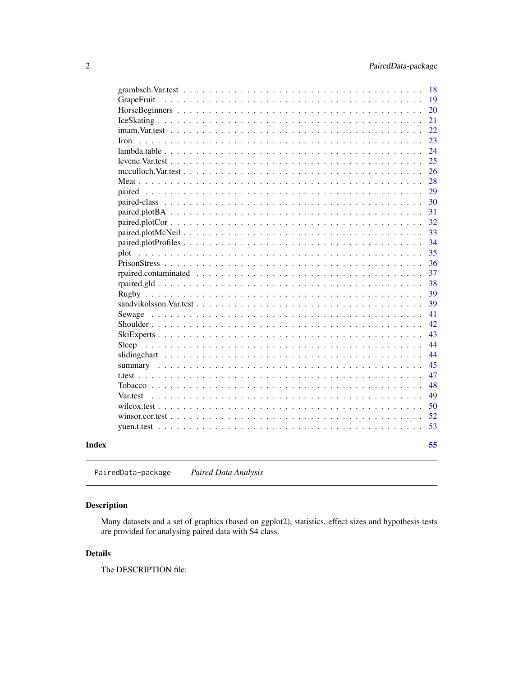<span id="page-1-0"></span>

PairedData-package *Paired Data Analysis*

# Description

Many datasets and a set of graphics (based on ggplot2), statistics, effect sizes and hypothesis tests are provided for analysing paired data with S4 class.

# Details

The DESCRIPTION file: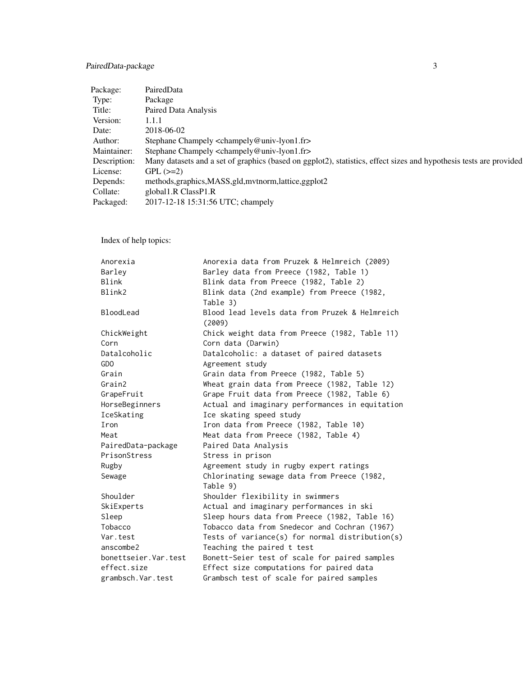# PairedData-package 3

| Package:     | PairedData                                                                                                         |
|--------------|--------------------------------------------------------------------------------------------------------------------|
| Type:        | Package                                                                                                            |
| Title:       | Paired Data Analysis                                                                                               |
| Version:     | 1.1.1                                                                                                              |
| Date:        | 2018-06-02                                                                                                         |
| Author:      | Stephane Champely <champely@univ-lyon1.fr></champely@univ-lyon1.fr>                                                |
| Maintainer:  | Stephane Champely <champely@univ-lyon1.fr></champely@univ-lyon1.fr>                                                |
| Description: | Many datasets and a set of graphics (based on ggplot2), statistics, effect sizes and hypothesis tests are provided |
| License:     | $GPL (=2)$                                                                                                         |
| Depends:     | methods, graphics, MASS, gld, mythorm, lattice, ggplot2                                                            |
| Collate:     | global1.R ClassP1.R                                                                                                |
| Packaged:    | 2017-12-18 15:31:56 UTC; champely                                                                                  |

Index of help topics:

| Anorexia             | Anorexia data from Pruzek & Helmreich (2009)             |
|----------------------|----------------------------------------------------------|
| Barley               | Barley data from Preece (1982, Table 1)                  |
| Blink                | Blink data from Preece (1982, Table 2)                   |
| Blink2               | Blink data (2nd example) from Preece (1982,              |
|                      | Table 3)                                                 |
| BloodLead            | Blood lead levels data from Pruzek & Helmreich<br>(2009) |
| ChickWeight          | Chick weight data from Preece (1982, Table 11)           |
| Corn                 | Corn data (Darwin)                                       |
| Datalcoholic         | Datalcoholic: a dataset of paired datasets               |
| GD <sub>O</sub>      | Agreement study                                          |
| Grain                | Grain data from Preece (1982, Table 5)                   |
| Grain2               | Wheat grain data from Preece (1982, Table 12)            |
| GrapeFruit           | Grape Fruit data from Preece (1982, Table 6)             |
| HorseBeginners       | Actual and imaginary performances in equitation          |
| IceSkating           | Ice skating speed study                                  |
| Iron                 | Iron data from Preece (1982, Table 10)                   |
| Meat                 | Meat data from Preece (1982, Table 4)                    |
| PairedData-package   | Paired Data Analysis                                     |
| PrisonStress         | Stress in prison                                         |
| Rugby                | Agreement study in rugby expert ratings                  |
| Sewage               | Chlorinating sewage data from Preece (1982,              |
|                      | Table 9)                                                 |
| Shoulder             | Shoulder flexibility in swimmers                         |
| SkiExperts           | Actual and imaginary performances in ski                 |
| Sleep                | Sleep hours data from Preece (1982, Table 16)            |
| Tobacco              | Tobacco data from Snedecor and Cochran (1967)            |
| Var.test             | Tests of variance(s) for normal distribution(s)          |
| anscombe2            | Teaching the paired t test                               |
| bonettseier.Var.test | Bonett-Seier test of scale for paired samples            |
| effect.size          | Effect size computations for paired data                 |
| grambsch. Var. test  | Grambsch test of scale for paired samples                |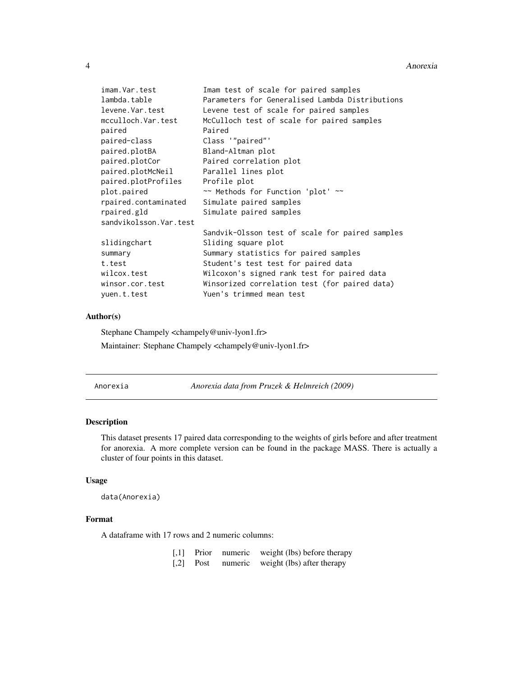#### <span id="page-3-0"></span>4 Anorexia

| imam.Var.test          | Imam test of scale for paired samples           |
|------------------------|-------------------------------------------------|
| lambda.table           | Parameters for Generalised Lambda Distributions |
| levene.Var.test        | Levene test of scale for paired samples         |
| mcculloch.Var.test     | McCulloch test of scale for paired samples      |
| paired                 | Paired                                          |
| paired-class           | Class '"paired"'                                |
| paired.plotBA          | Bland-Altman plot                               |
| paired.plotCor         | Paired correlation plot                         |
| paired.plotMcNeil      | Parallel lines plot                             |
| paired.plotProfiles    | Profile plot                                    |
| plot.paired            | ~~ Methods for Function 'plot' ~~               |
| rpaired.contaminated   | Simulate paired samples                         |
| rpaired.gld            | Simulate paired samples                         |
| sandvikolsson.Var.test |                                                 |
|                        | Sandvik-Olsson test of scale for paired samples |
| slidingchart           | Sliding square plot                             |
| summary                | Summary statistics for paired samples           |
| t.test                 | Student's test test for paired data             |
| wilcox.test            | Wilcoxon's signed rank test for paired data     |
| winsor.cor.test        | Winsorized correlation test (for paired data)   |
| yuen.t.test            | Yuen's trimmed mean test                        |

### Author(s)

Stephane Champely <champely@univ-lyon1.fr> Maintainer: Stephane Champely <champely@univ-lyon1.fr>

Anorexia *Anorexia data from Pruzek & Helmreich (2009)*

# Description

This dataset presents 17 paired data corresponding to the weights of girls before and after treatment for anorexia. A more complete version can be found in the package MASS. There is actually a cluster of four points in this dataset.

# Usage

```
data(Anorexia)
```
### Format

A dataframe with 17 rows and 2 numeric columns:

| $\left\lceil .1 \right\rceil$ | Prior | numeric | weight (lbs) before therapy |
|-------------------------------|-------|---------|-----------------------------|
| $\lceil$ ,2]                  | Post  | numeric | weight (lbs) after therapy  |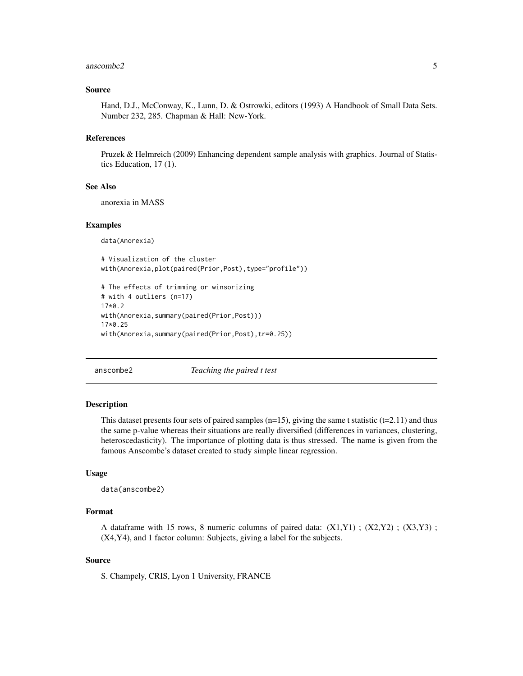#### <span id="page-4-0"></span>anscombe2 5

#### Source

Hand, D.J., McConway, K., Lunn, D. & Ostrowki, editors (1993) A Handbook of Small Data Sets. Number 232, 285. Chapman & Hall: New-York.

### References

Pruzek & Helmreich (2009) Enhancing dependent sample analysis with graphics. Journal of Statistics Education, 17 (1).

#### See Also

anorexia in MASS

#### Examples

data(Anorexia)

```
# Visualization of the cluster
with(Anorexia,plot(paired(Prior,Post),type="profile"))
```

```
# The effects of trimming or winsorizing
# with 4 outliers (n=17)
17*0.2
with(Anorexia,summary(paired(Prior,Post)))
17*0.25
with(Anorexia,summary(paired(Prior,Post),tr=0.25))
```
anscombe2 *Teaching the paired t test*

#### **Description**

This dataset presents four sets of paired samples  $(n=15)$ , giving the same t statistic  $(t=2.11)$  and thus the same p-value whereas their situations are really diversified (differences in variances, clustering, heteroscedasticity). The importance of plotting data is thus stressed. The name is given from the famous Anscombe's dataset created to study simple linear regression.

# Usage

```
data(anscombe2)
```
### Format

A dataframe with 15 rows, 8 numeric columns of paired data:  $(X1,Y1)$ ;  $(X2,Y2)$ ;  $(X3,Y3)$ ; (X4,Y4), and 1 factor column: Subjects, giving a label for the subjects.

#### Source

S. Champely, CRIS, Lyon 1 University, FRANCE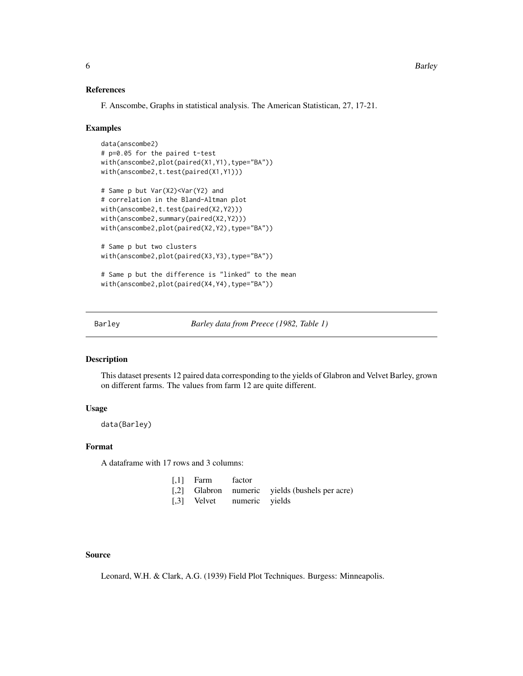#### References

F. Anscombe, Graphs in statistical analysis. The American Statistican, 27, 17-21.

#### Examples

```
data(anscombe2)
# p=0.05 for the paired t-test
with(anscombe2,plot(paired(X1,Y1),type="BA"))
with(anscombe2,t.test(paired(X1,Y1)))
# Same p but Var(X2)<Var(Y2) and
# correlation in the Bland-Altman plot
with(anscombe2,t.test(paired(X2,Y2)))
with(anscombe2,summary(paired(X2,Y2)))
with(anscombe2,plot(paired(X2,Y2),type="BA"))
# Same p but two clusters
with(anscombe2,plot(paired(X3,Y3),type="BA"))
# Same p but the difference is "linked" to the mean
with(anscombe2,plot(paired(X4,Y4),type="BA"))
```
Barley *Barley data from Preece (1982, Table 1)*

# Description

This dataset presents 12 paired data corresponding to the yields of Glabron and Velvet Barley, grown on different farms. The values from farm 12 are quite different.

# Usage

data(Barley)

# Format

A dataframe with 17 rows and 3 columns:

| $[0,1]$ Farm factor |                            |                                                |
|---------------------|----------------------------|------------------------------------------------|
|                     |                            | [,2] Glabron numeric yields (bushels per acre) |
|                     | [,3] Velvet numeric yields |                                                |

# Source

Leonard, W.H. & Clark, A.G. (1939) Field Plot Techniques. Burgess: Minneapolis.

<span id="page-5-0"></span>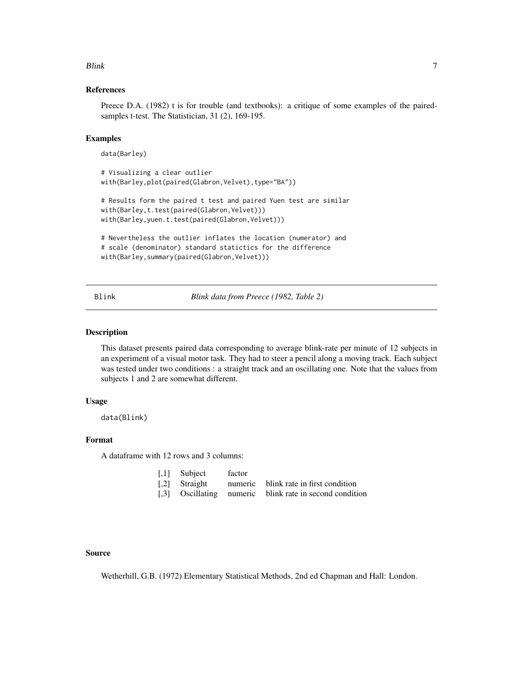#### <span id="page-6-0"></span>Blink 2008 and 2008 and 2008 and 2008 and 2008 and 2008 and 2008 and 2008 and 2008 and 2008 and 2008 and 2008

# References

Preece D.A. (1982) t is for trouble (and textbooks): a critique of some examples of the pairedsamples t-test. The Statistician, 31 (2), 169-195.

### Examples

data(Barley)

```
# Visualizing a clear outlier
with(Barley,plot(paired(Glabron,Velvet),type="BA"))
# Results form the paired t test and paired Yuen test are similar
with(Barley,t.test(paired(Glabron,Velvet)))
with(Barley,yuen.t.test(paired(Glabron,Velvet)))
# Nevertheless the outlier inflates the location (numerator) and
# scale (denominator) standard statictics for the difference
```

```
with(Barley,summary(paired(Glabron,Velvet)))
```
Blink *Blink data from Preece (1982, Table 2)*

#### Description

This dataset presents paired data corresponding to average blink-rate per minute of 12 subjects in an experiment of a visual motor task. They had to steer a pencil along a moving track. Each subject was tested under two conditions : a straight track and an oscillating one. Note that the values from subjects 1 and 2 are somewhat different.

#### Usage

data(Blink)

### Format

A dataframe with 12 rows and 3 columns:

| $\left[1\right]$ Subject | factor |                                                         |
|--------------------------|--------|---------------------------------------------------------|
|                          |        | [,2] Straight numeric blink rate in first condition     |
|                          |        | [,3] Oscillating numeric blink rate in second condition |

### Source

Wetherhill, G.B. (1972) Elementary Statistical Methods, 2nd ed Chapman and Hall: London.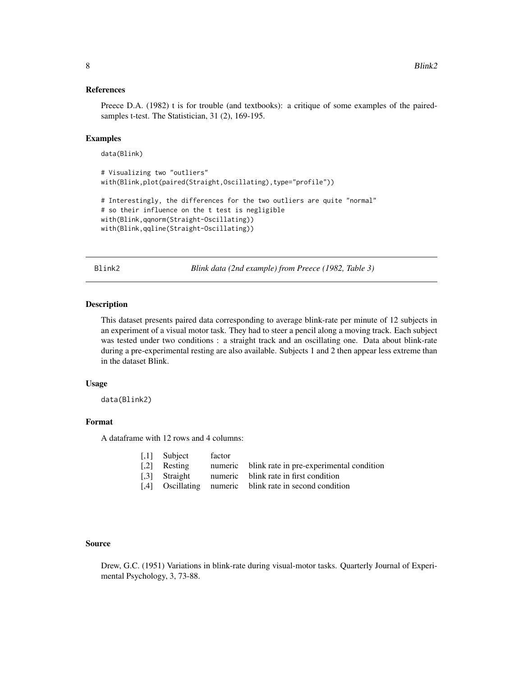#### <span id="page-7-0"></span>References

Preece D.A. (1982) t is for trouble (and textbooks): a critique of some examples of the pairedsamples t-test. The Statistician, 31 (2), 169-195.

### Examples

data(Blink)

```
# Visualizing two "outliers"
with(Blink,plot(paired(Straight,Oscillating),type="profile"))
# Interestingly, the differences for the two outliers are quite "normal"
# so their influence on the t test is negligible
with(Blink,qqnorm(Straight-Oscillating))
with(Blink,qqline(Straight-Oscillating))
```
Blink2 *Blink data (2nd example) from Preece (1982, Table 3)*

# Description

This dataset presents paired data corresponding to average blink-rate per minute of 12 subjects in an experiment of a visual motor task. They had to steer a pencil along a moving track. Each subject was tested under two conditions : a straight track and an oscillating one. Data about blink-rate during a pre-experimental resting are also available. Subjects 1 and 2 then appear less extreme than in the dataset Blink.

### Usage

data(Blink2)

### Format

A dataframe with 12 rows and 4 columns:

|     | [.1] Subject  | factor |                                                    |
|-----|---------------|--------|----------------------------------------------------|
|     | [.2] Resting  |        | numeric blink rate in pre-experimental condition   |
|     | [.3] Straight |        | numeric blink rate in first condition              |
| [4] |               |        | Oscillating numeric blink rate in second condition |

#### Source

Drew, G.C. (1951) Variations in blink-rate during visual-motor tasks. Quarterly Journal of Experimental Psychology, 3, 73-88.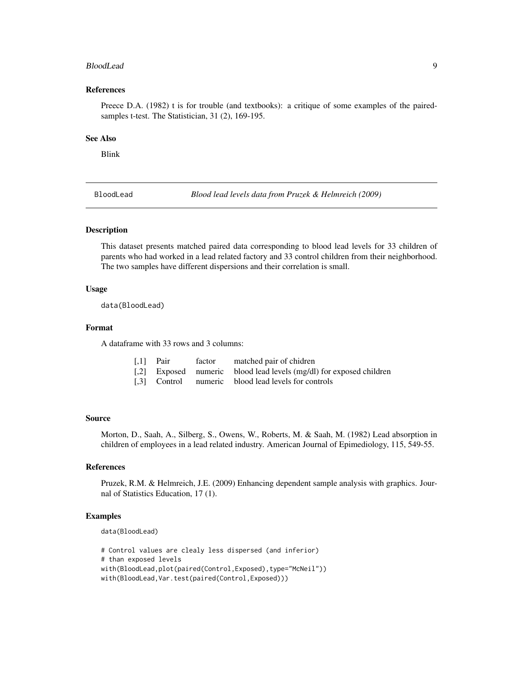#### <span id="page-8-0"></span>BloodLead 9

#### References

Preece D.A. (1982) t is for trouble (and textbooks): a critique of some examples of the pairedsamples t-test. The Statistician, 31 (2), 169-195.

#### See Also

Blink

BloodLead *Blood lead levels data from Pruzek & Helmreich (2009)*

# Description

This dataset presents matched paired data corresponding to blood lead levels for 33 children of parents who had worked in a lead related factory and 33 control children from their neighborhood. The two samples have different dispersions and their correlation is small.

#### Usage

data(BloodLead)

### Format

A dataframe with 33 rows and 3 columns:

| $\lceil$ , 1 Pair | factor | matched pair of chidren                                             |
|-------------------|--------|---------------------------------------------------------------------|
|                   |        | [.2] Exposed numeric blood lead levels (mg/dl) for exposed children |
|                   |        | [.3] Control numeric blood lead levels for controls                 |

#### Source

Morton, D., Saah, A., Silberg, S., Owens, W., Roberts, M. & Saah, M. (1982) Lead absorption in children of employees in a lead related industry. American Journal of Epimediology, 115, 549-55.

#### References

Pruzek, R.M. & Helmreich, J.E. (2009) Enhancing dependent sample analysis with graphics. Journal of Statistics Education, 17 (1).

#### Examples

data(BloodLead)

# Control values are clealy less dispersed (and inferior)

```
# than exposed levels
```

```
with(BloodLead,plot(paired(Control,Exposed),type="McNeil"))
```
with(BloodLead,Var.test(paired(Control,Exposed)))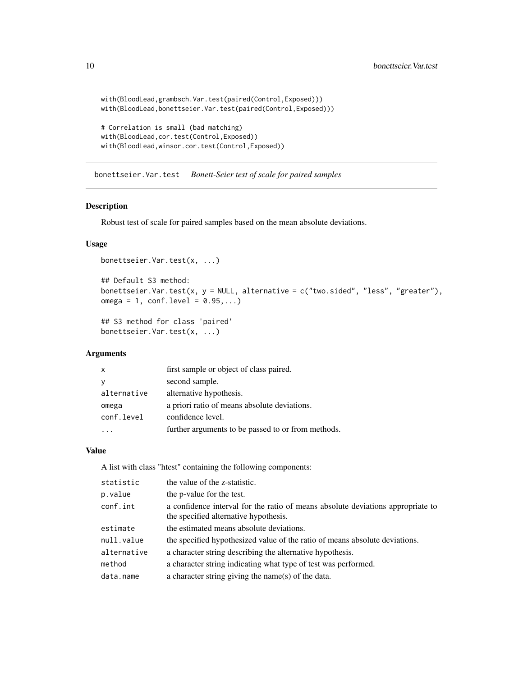```
with(BloodLead,grambsch.Var.test(paired(Control,Exposed)))
with(BloodLead,bonettseier.Var.test(paired(Control,Exposed)))
# Correlation is small (bad matching)
with(BloodLead,cor.test(Control,Exposed))
with(BloodLead,winsor.cor.test(Control,Exposed))
```
bonettseier.Var.test *Bonett-Seier test of scale for paired samples*

# Description

Robust test of scale for paired samples based on the mean absolute deviations.

# Usage

```
bonettseier.Var.test(x, ...)
```

```
## Default S3 method:
bonettseier.Var.test(x, y = NULL, alternative = c("two.sided", "less", "greater"),omega = 1, conf. level = 0.95,...)
```

```
## S3 method for class 'paired'
bonettseier.Var.test(x, ...)
```
#### Arguments

| $\mathsf{x}$ | first sample or object of class paired.            |
|--------------|----------------------------------------------------|
|              | second sample.                                     |
| alternative  | alternative hypothesis.                            |
| omega        | a priori ratio of means absolute deviations.       |
| conf.level   | confidence level.                                  |
|              | further arguments to be passed to or from methods. |

# Value

A list with class "htest" containing the following components:

| statistic   | the value of the z-statistic.                                                                                            |
|-------------|--------------------------------------------------------------------------------------------------------------------------|
| p.value     | the p-value for the test.                                                                                                |
| conf.int    | a confidence interval for the ratio of means absolute deviations appropriate to<br>the specified alternative hypothesis. |
| estimate    | the estimated means absolute deviations.                                                                                 |
| null.value  | the specified hypothesized value of the ratio of means absolute deviations.                                              |
| alternative | a character string describing the alternative hypothesis.                                                                |
| method      | a character string indicating what type of test was performed.                                                           |
| data.name   | a character string giving the name(s) of the data.                                                                       |
|             |                                                                                                                          |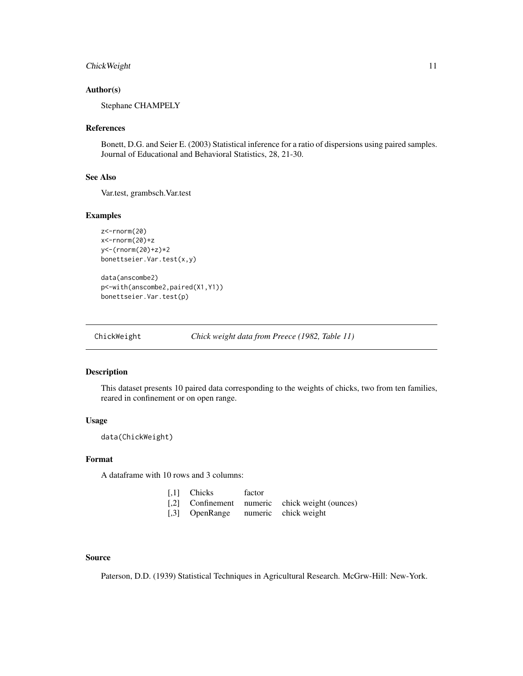# <span id="page-10-0"></span>ChickWeight 11

### Author(s)

Stephane CHAMPELY

#### References

Bonett, D.G. and Seier E. (2003) Statistical inference for a ratio of dispersions using paired samples. Journal of Educational and Behavioral Statistics, 28, 21-30.

### See Also

Var.test, grambsch.Var.test

### Examples

```
z<-rnorm(20)
x<-rnorm(20)+z
y<-(rnorm(20)+z)*2
bonettseier.Var.test(x,y)
```
data(anscombe2) p<-with(anscombe2,paired(X1,Y1)) bonettseier.Var.test(p)

ChickWeight *Chick weight data from Preece (1982, Table 11)*

### Description

This dataset presents 10 paired data corresponding to the weights of chicks, two from ten families, reared in confinement or on open range.

#### Usage

data(ChickWeight)

# Format

A dataframe with 10 rows and 3 columns:

|       | [,1] Chicks | factor |  |  |
|-------|-------------|--------|--|--|
| - - - |             |        |  |  |

[,2] Confinement numeric chick weight (ounces) [,3] OpenRange numeric chick weight

#### Source

Paterson, D.D. (1939) Statistical Techniques in Agricultural Research. McGrw-Hill: New-York.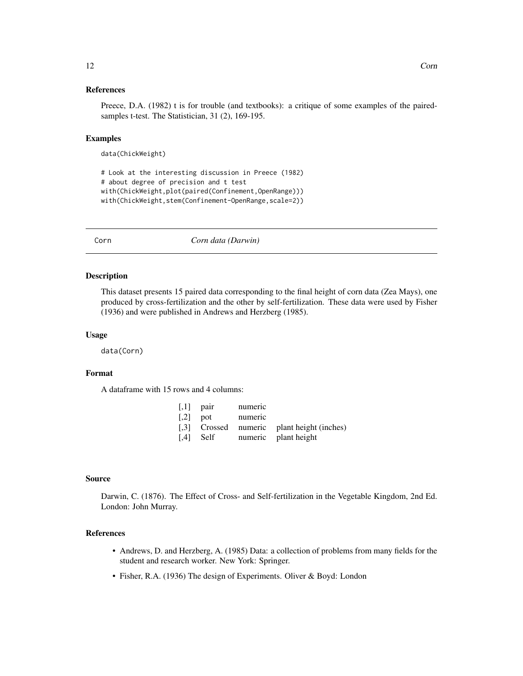#### <span id="page-11-0"></span>References

Preece, D.A. (1982) t is for trouble (and textbooks): a critique of some examples of the pairedsamples t-test. The Statistician, 31 (2), 169-195.

### Examples

data(ChickWeight)

```
# Look at the interesting discussion in Preece (1982)
# about degree of precision and t test
with(ChickWeight,plot(paired(Confinement,OpenRange)))
with(ChickWeight,stem(Confinement-OpenRange,scale=2))
```
Corn *Corn data (Darwin)*

#### Description

This dataset presents 15 paired data corresponding to the final height of corn data (Zea Mays), one produced by cross-fertilization and the other by self-fertilization. These data were used by Fisher (1936) and were published in Andrews and Herzberg (1985).

### Usage

data(Corn)

#### Format

A dataframe with 15 rows and 4 columns:

| $\lceil$ ,1 pair        | numeric |                                            |
|-------------------------|---------|--------------------------------------------|
| $\lbrack .2\rbrack$ pot | numeric |                                            |
|                         |         | [,3] Crossed numeric plant height (inches) |
| $\lceil .4 \rceil$ Self |         | numeric plant height                       |

#### Source

Darwin, C. (1876). The Effect of Cross- and Self-fertilization in the Vegetable Kingdom, 2nd Ed. London: John Murray.

# References

- Andrews, D. and Herzberg, A. (1985) Data: a collection of problems from many fields for the student and research worker. New York: Springer.
- Fisher, R.A. (1936) The design of Experiments. Oliver & Boyd: London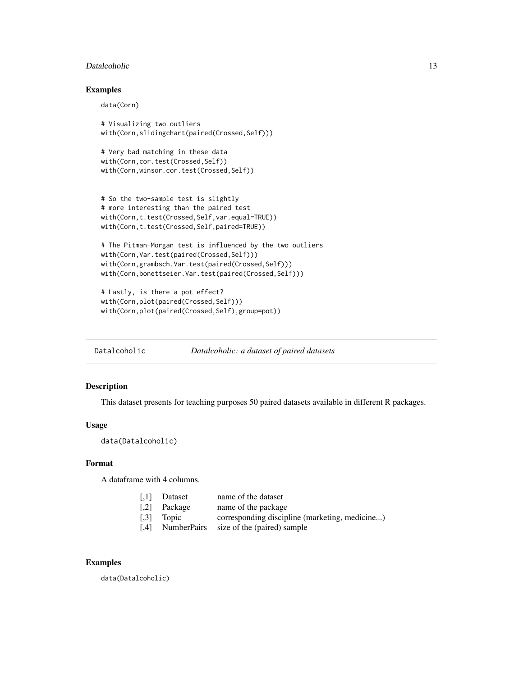#### <span id="page-12-0"></span>Datalcoholic 13

# Examples

data(Corn)

```
# Visualizing two outliers
with(Corn,slidingchart(paired(Crossed,Self)))
```

```
# Very bad matching in these data
with(Corn,cor.test(Crossed,Self))
with(Corn,winsor.cor.test(Crossed,Self))
```

```
# So the two-sample test is slightly
# more interesting than the paired test
with(Corn,t.test(Crossed,Self,var.equal=TRUE))
with(Corn,t.test(Crossed,Self,paired=TRUE))
```

```
# The Pitman-Morgan test is influenced by the two outliers
with(Corn, Var.test(paired(Crossed, Self)))
with(Corn,grambsch.Var.test(paired(Crossed,Self)))
with(Corn,bonettseier.Var.test(paired(Crossed,Self)))
```

```
# Lastly, is there a pot effect?
with(Corn,plot(paired(Crossed,Self)))
with(Corn,plot(paired(Crossed,Self),group=pot))
```
Datalcoholic *Datalcoholic: a dataset of paired datasets*

# Description

This dataset presents for teaching purposes 50 paired datasets available in different R packages.

#### Usage

```
data(Datalcoholic)
```
### Format

A dataframe with 4 columns.

| $\left\lceil,1\right\rceil$ | Dataset            | name of the dataset                            |
|-----------------------------|--------------------|------------------------------------------------|
| $\left[ .2 \right]$         | Package            | name of the package                            |
| $\left[ .3 \right]$         | Topic              | corresponding discipline (marketing, medicine) |
| [4]                         | <b>NumberPairs</b> | size of the (paired) sample                    |

# Examples

data(Datalcoholic)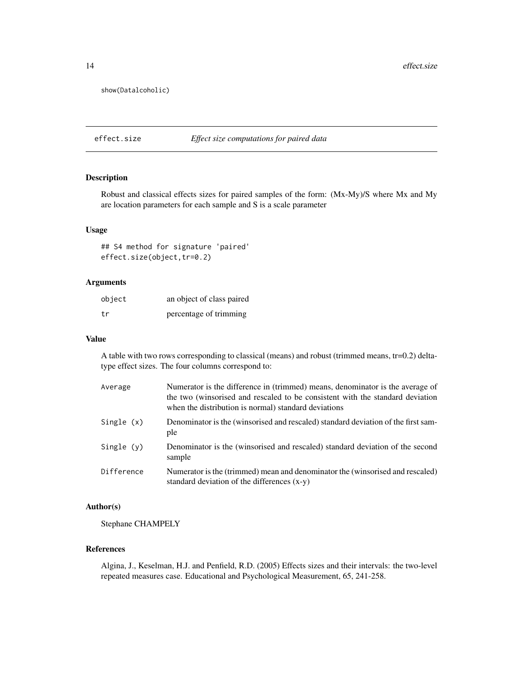<span id="page-13-0"></span>show(Datalcoholic)

effect.size *Effect size computations for paired data*

# Description

Robust and classical effects sizes for paired samples of the form: (Mx-My)/S where Mx and My are location parameters for each sample and S is a scale parameter

# Usage

## S4 method for signature 'paired' effect.size(object,tr=0.2)

# Arguments

| object | an object of class paired |
|--------|---------------------------|
| tr     | percentage of trimming    |

#### Value

A table with two rows corresponding to classical (means) and robust (trimmed means, tr=0.2) deltatype effect sizes. The four columns correspond to:

| Average      | Numerator is the difference in (trimmed) means, denominator is the average of<br>the two (winsorised and rescaled to be consistent with the standard deviation<br>when the distribution is normal) standard deviations |
|--------------|------------------------------------------------------------------------------------------------------------------------------------------------------------------------------------------------------------------------|
| Single (x)   | Denominator is the (winsorised and rescaled) standard deviation of the first sam-<br>ple                                                                                                                               |
| Single $(v)$ | Denominator is the (winsorised and rescaled) standard deviation of the second<br>sample                                                                                                                                |
| Difference   | Numerator is the (trimmed) mean and denominator the (winsorised and rescaled)<br>standard deviation of the differences $(x-y)$                                                                                         |

# Author(s)

Stephane CHAMPELY

### References

Algina, J., Keselman, H.J. and Penfield, R.D. (2005) Effects sizes and their intervals: the two-level repeated measures case. Educational and Psychological Measurement, 65, 241-258.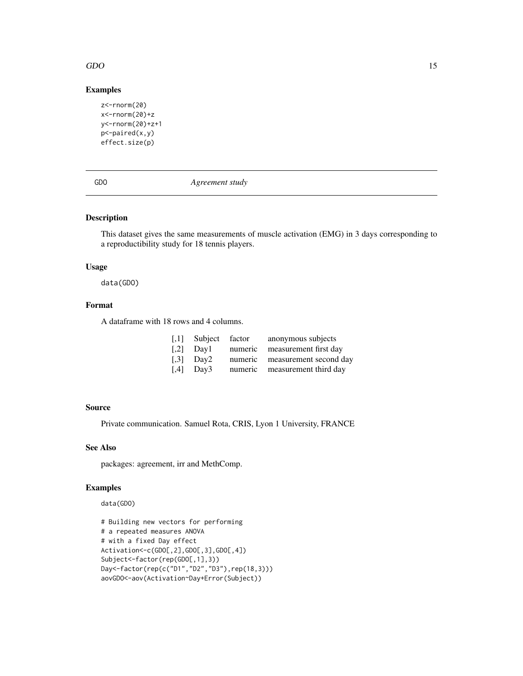### <span id="page-14-0"></span>GDO 15

# Examples

```
z<-rnorm(20)
x<-rnorm(20)+z
y<-rnorm(20)+z+1
p<-paired(x,y)
effect.size(p)
```
GDO *Agreement study*

### Description

This dataset gives the same measurements of muscle activation (EMG) in 3 days corresponding to a reproductibility study for 18 tennis players.

# Usage

data(GDO)

# Format

A dataframe with 18 rows and 4 columns.

| $\left\lceil,1\right\rceil$ | Subject factor |         | anonymous subjects            |
|-----------------------------|----------------|---------|-------------------------------|
| $\lceil 0.2 \rceil$         | Day 1          | numeric | measurement first day         |
| $\left[ 1,3\right]$         | Day2           | numeric | measurement second day        |
| [0.4]                       | Day3           |         | numeric measurement third day |

# Source

Private communication. Samuel Rota, CRIS, Lyon 1 University, FRANCE

# See Also

packages: agreement, irr and MethComp.

# Examples

data(GDO)

```
# Building new vectors for performing
# a repeated measures ANOVA
# with a fixed Day effect
Activation<-c(GDO[,2],GDO[,3],GDO[,4])
Subject<-factor(rep(GDO[,1],3))
Day<-factor(rep(c("D1","D2","D3"),rep(18,3)))
aovGDO<-aov(Activation~Day+Error(Subject))
```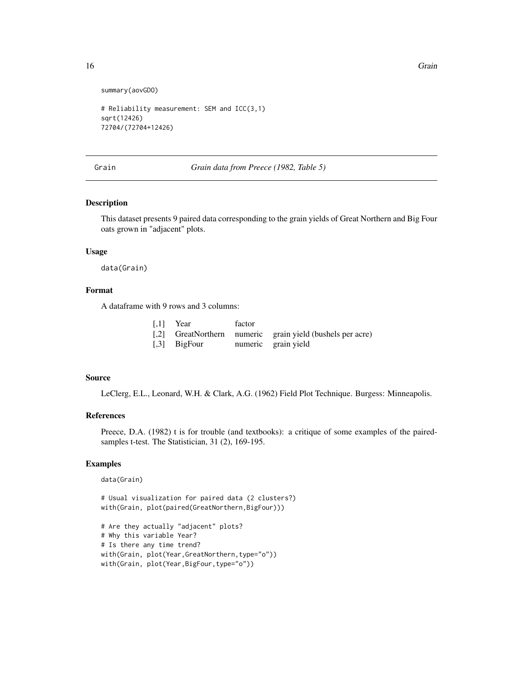```
summary(aovGDO)
```

```
# Reliability measurement: SEM and ICC(3,1)
sqrt(12426)
72704/(72704+12426)
```
Grain *Grain data from Preece (1982, Table 5)*

### Description

This dataset presents 9 paired data corresponding to the grain yields of Great Northern and Big Four oats grown in "adjacent" plots.

#### Usage

data(Grain)

# Format

A dataframe with 9 rows and 3 columns:

|              | $[,1]$ Year | factor |   |  |
|--------------|-------------|--------|---|--|
| $\mathbf{r}$ | $\sim$      |        | . |  |

- [,2] GreatNorthern numeric grain yield (bushels per acre)
- [,3] BigFour numeric grain yield

#### Source

LeClerg, E.L., Leonard, W.H. & Clark, A.G. (1962) Field Plot Technique. Burgess: Minneapolis.

# References

Preece, D.A. (1982) t is for trouble (and textbooks): a critique of some examples of the pairedsamples t-test. The Statistician, 31 (2), 169-195.

#### Examples

```
data(Grain)
```
# Usual visualization for paired data (2 clusters?) with(Grain, plot(paired(GreatNorthern,BigFour)))

# Are they actually "adjacent" plots? # Why this variable Year? # Is there any time trend? with(Grain, plot(Year,GreatNorthern,type="o")) with(Grain, plot(Year,BigFour,type="o"))

<span id="page-15-0"></span>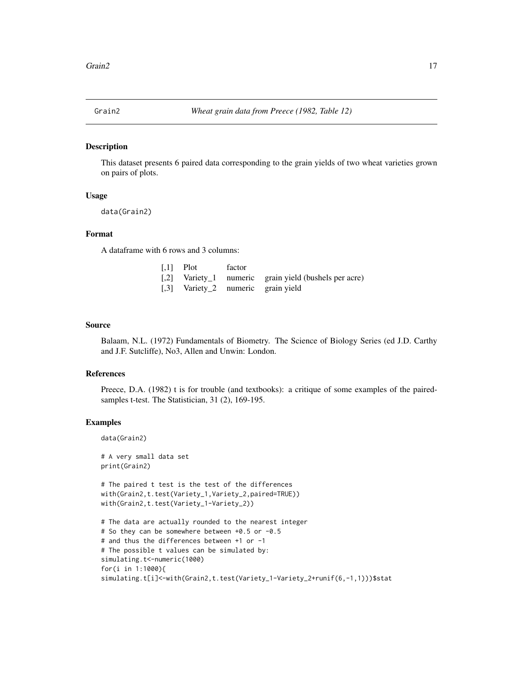<span id="page-16-0"></span>

#### Description

This dataset presents 6 paired data corresponding to the grain yields of two wheat varieties grown on pairs of plots.

### Usage

```
data(Grain2)
```
# Format

A dataframe with 6 rows and 3 columns:

| [.1] Plot factor                   |                                                       |
|------------------------------------|-------------------------------------------------------|
|                                    | [,2] Variety_1 numeric grain yield (bushels per acre) |
| [.3] Variety 2 numeric grain yield |                                                       |

### Source

Balaam, N.L. (1972) Fundamentals of Biometry. The Science of Biology Series (ed J.D. Carthy and J.F. Sutcliffe), No3, Allen and Unwin: London.

#### References

Preece, D.A. (1982) t is for trouble (and textbooks): a critique of some examples of the pairedsamples t-test. The Statistician, 31 (2), 169-195.

### Examples

```
data(Grain2)
```
# A very small data set print(Grain2)

```
# The paired t test is the test of the differences
with(Grain2,t.test(Variety_1,Variety_2,paired=TRUE))
with(Grain2,t.test(Variety_1-Variety_2))
```

```
# The data are actually rounded to the nearest integer
# So they can be somewhere between +0.5 or -0.5
# and thus the differences between +1 or -1
# The possible t values can be simulated by:
simulating.t<-numeric(1000)
for(i in 1:1000){
simulating.t[i]<-with(Grain2,t.test(Variety_1-Variety_2+runif(6,-1,1)))$stat
```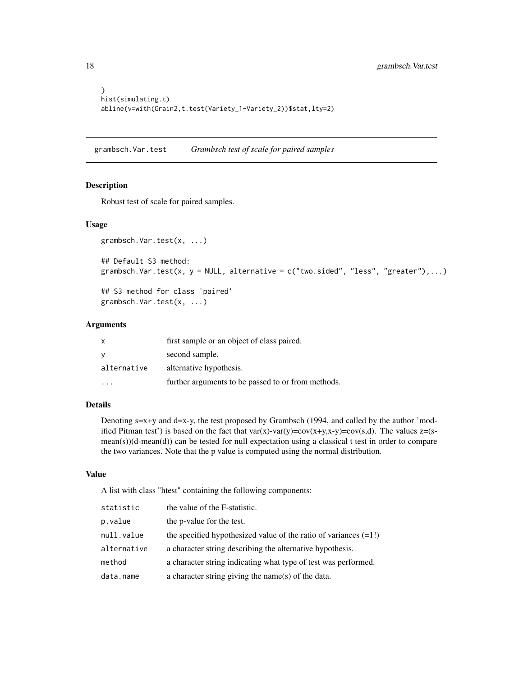```
}
hist(simulating.t)
abline(v=with(Grain2,t.test(Variety_1-Variety_2))$stat,lty=2)
```
grambsch.Var.test *Grambsch test of scale for paired samples*

#### Description

Robust test of scale for paired samples.

### Usage

```
grambsch.Var.test(x, ...)
## Default S3 method:
grambsch.Var.test(x, y = NULL, alternative = c("two.sided", "less", "greater"),...)
```
## S3 method for class 'paired' grambsch.Var.test(x, ...)

### Arguments

| X           | first sample or an object of class paired.         |
|-------------|----------------------------------------------------|
| - V         | second sample.                                     |
| alternative | alternative hypothesis.                            |
|             | further arguments to be passed to or from methods. |

# Details

Denoting  $s=x+y$  and  $d=x-y$ , the test proposed by Grambsch (1994, and called by the author 'modified Pitman test') is based on the fact that var(x)-var(y)=cov(x+y,x-y)=cov(s,d). The values  $z=(s$ mean(s))(d-mean(d)) can be tested for null expectation using a classical t test in order to compare the two variances. Note that the p value is computed using the normal distribution.

# Value

A list with class "htest" containing the following components:

| statistic   | the value of the F-statistic.                                      |
|-------------|--------------------------------------------------------------------|
| p.value     | the p-value for the test.                                          |
| null.value  | the specified hypothesized value of the ratio of variances $(=1!)$ |
| alternative | a character string describing the alternative hypothesis.          |
| method      | a character string indicating what type of test was performed.     |
| data.name   | a character string giving the name(s) of the data.                 |

<span id="page-17-0"></span>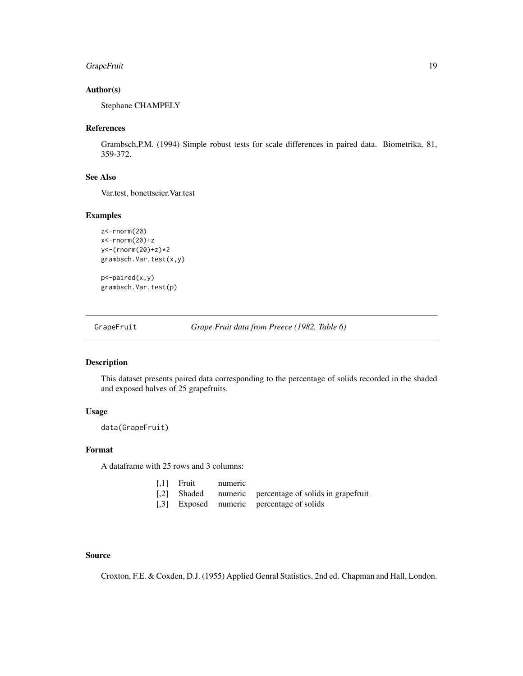# <span id="page-18-0"></span>GrapeFruit 19

### Author(s)

Stephane CHAMPELY

#### References

Grambsch,P.M. (1994) Simple robust tests for scale differences in paired data. Biometrika, 81, 359-372.

# See Also

Var.test, bonettseier.Var.test

# Examples

```
z<-rnorm(20)
x<-rnorm(20)+z
y<-(rnorm(20)+z)*2
grambsch.Var.test(x,y)
```
p<-paired(x,y) grambsch.Var.test(p)

GrapeFruit *Grape Fruit data from Preece (1982, Table 6)*

### Description

This dataset presents paired data corresponding to the percentage of solids recorded in the shaded and exposed halves of 25 grapefruits.

### Usage

data(GrapeFruit)

# Format

A dataframe with 25 rows and 3 columns:

| $[,1]$ Fruit | numeric |                                                        |
|--------------|---------|--------------------------------------------------------|
|              |         | [,2] Shaded numeric percentage of solids in grapefruit |

[,3] Exposed numeric percentage of solids

# Source

Croxton, F.E. & Coxden, D.J. (1955) Applied Genral Statistics, 2nd ed. Chapman and Hall, London.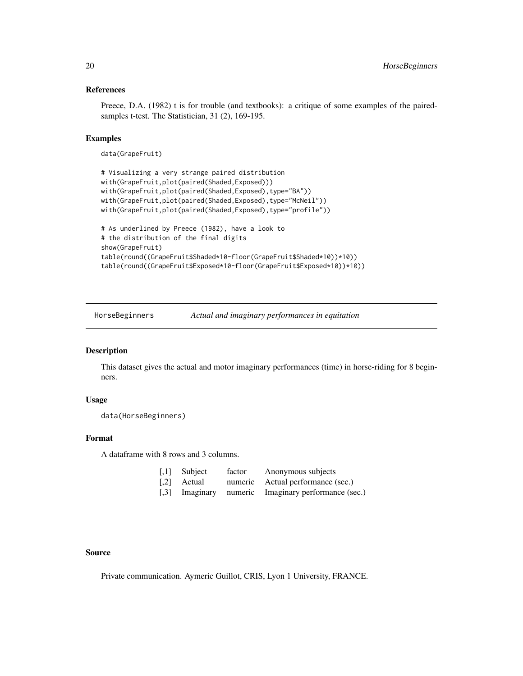#### <span id="page-19-0"></span>References

Preece, D.A. (1982) t is for trouble (and textbooks): a critique of some examples of the pairedsamples t-test. The Statistician, 31 (2), 169-195.

### Examples

data(GrapeFruit)

```
# Visualizing a very strange paired distribution
with(GrapeFruit,plot(paired(Shaded,Exposed)))
with(GrapeFruit,plot(paired(Shaded,Exposed),type="BA"))
with(GrapeFruit,plot(paired(Shaded,Exposed),type="McNeil"))
with(GrapeFruit,plot(paired(Shaded,Exposed),type="profile"))
# As underlined by Preece (1982), have a look to
# the distribution of the final digits
show(GrapeFruit)
table(round((GrapeFruit$Shaded*10-floor(GrapeFruit$Shaded*10))*10))
table(round((GrapeFruit$Exposed*10-floor(GrapeFruit$Exposed*10))*10))
```
HorseBeginners *Actual and imaginary performances in equitation*

# Description

This dataset gives the actual and motor imaginary performances (time) in horse-riding for 8 beginners.

### Usage

```
data(HorseBeginners)
```
# Format

A dataframe with 8 rows and 3 columns.

| $\left[ .1 \right]$ | Subject     | factor | Anonymous subjects                                  |
|---------------------|-------------|--------|-----------------------------------------------------|
|                     | [.2] Actual |        | numeric Actual performance (sec.)                   |
|                     |             |        | [,3] Imaginary numeric Imaginary performance (sec.) |

### Source

Private communication. Aymeric Guillot, CRIS, Lyon 1 University, FRANCE.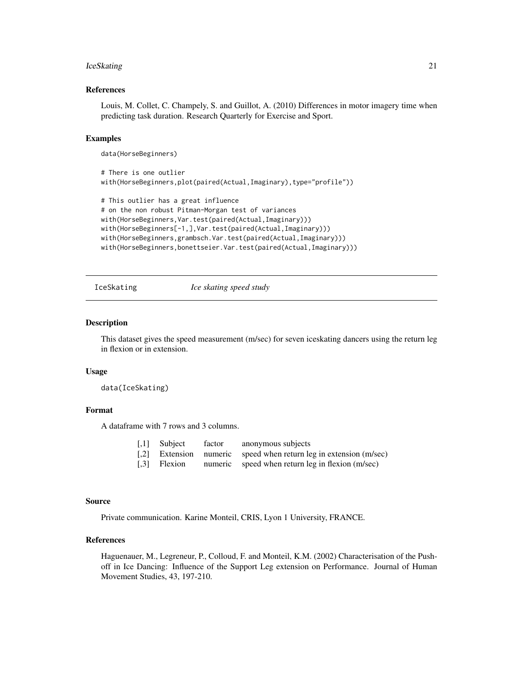#### <span id="page-20-0"></span>**IceSkating** 21

#### References

Louis, M. Collet, C. Champely, S. and Guillot, A. (2010) Differences in motor imagery time when predicting task duration. Research Quarterly for Exercise and Sport.

### Examples

data(HorseBeginners)

```
# There is one outlier
with(HorseBeginners,plot(paired(Actual,Imaginary),type="profile"))
```

```
# This outlier has a great influence
# on the non robust Pitman-Morgan test of variances
with(HorseBeginners,Var.test(paired(Actual,Imaginary)))
with(HorseBeginners[-1,],Var.test(paired(Actual,Imaginary)))
with(HorseBeginners,grambsch.Var.test(paired(Actual,Imaginary)))
with(HorseBeginners,bonettseier.Var.test(paired(Actual,Imaginary)))
```
IceSkating *Ice skating speed study*

#### Description

This dataset gives the speed measurement (m/sec) for seven iceskating dancers using the return leg in flexion or in extension.

#### Usage

data(IceSkating)

### Format

A dataframe with 7 rows and 3 columns.

| $[,1]$ Subject | factor | anonymous subjects                                                |
|----------------|--------|-------------------------------------------------------------------|
|                |        | [,2] Extension numeric speed when return leg in extension (m/sec) |
| [,3] Flexion   |        | numeric speed when return leg in flexion (m/sec)                  |

#### Source

Private communication. Karine Monteil, CRIS, Lyon 1 University, FRANCE.

### References

Haguenauer, M., Legreneur, P., Colloud, F. and Monteil, K.M. (2002) Characterisation of the Pushoff in Ice Dancing: Influence of the Support Leg extension on Performance. Journal of Human Movement Studies, 43, 197-210.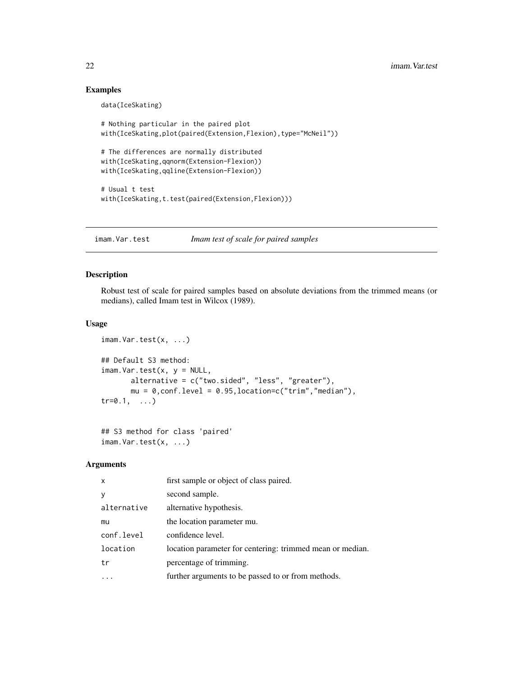# Examples

data(IceSkating)

```
# Nothing particular in the paired plot
with(IceSkating,plot(paired(Extension,Flexion),type="McNeil"))
# The differences are normally distributed
with(IceSkating,qqnorm(Extension-Flexion))
with(IceSkating,qqline(Extension-Flexion))
# Usual t test
with(IceSkating,t.test(paired(Extension,Flexion)))
```
imam.Var.test *Imam test of scale for paired samples*

### Description

Robust test of scale for paired samples based on absolute deviations from the trimmed means (or medians), called Imam test in Wilcox (1989).

# Usage

```
imam.Var.test(x, ...)
## Default S3 method:
imam.Var.test(x, y = NULL,alternative = c("two.sided", "less", "greater"),
      mu = 0, conf.level = 0.95, location=c("trim", "median"),
tr=0.1, ...
```

```
## S3 method for class 'paired'
imam.Var.test(x, ...)
```
# Arguments

| $\mathsf{x}$ | first sample or object of class paired.                   |
|--------------|-----------------------------------------------------------|
| y            | second sample.                                            |
| alternative  | alternative hypothesis.                                   |
| mu           | the location parameter mu.                                |
| conf.level   | confidence level.                                         |
| location     | location parameter for centering: trimmed mean or median. |
| tr           | percentage of trimming.                                   |
|              | further arguments to be passed to or from methods.        |

<span id="page-21-0"></span>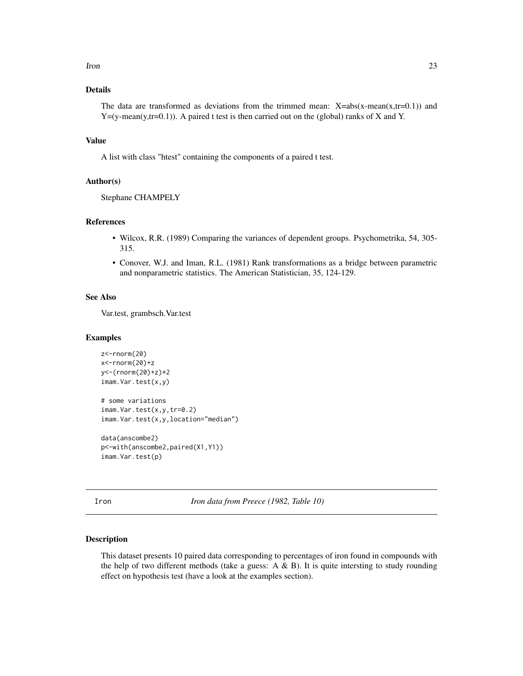# <span id="page-22-0"></span>Details

The data are transformed as deviations from the trimmed mean:  $X = abs(x-mean(x, tr=0.1))$  and  $Y=(y-mean(y,tr=0.1))$ . A paired t test is then carried out on the (global) ranks of X and Y.

# Value

A list with class "htest" containing the components of a paired t test.

### Author(s)

Stephane CHAMPELY

### References

- Wilcox, R.R. (1989) Comparing the variances of dependent groups. Psychometrika, 54, 305- 315.
- Conover, W.J. and Iman, R.L. (1981) Rank transformations as a bridge between parametric and nonparametric statistics. The American Statistician, 35, 124-129.

# See Also

Var.test, grambsch.Var.test

#### Examples

```
z<-rnorm(20)
x<-rnorm(20)+z
y<-(rnorm(20)+z)*2
imam.Var.test(x,y)
# some variations
imam.Var.test(x,y,tr=0.2)imam.Var.test(x,y,location="median")
data(anscombe2)
p<-with(anscombe2,paired(X1,Y1))
imam.Var.test(p)
```
Iron *Iron data from Preece (1982, Table 10)*

### Description

This dataset presents 10 paired data corresponding to percentages of iron found in compounds with the help of two different methods (take a guess:  $A \& B$ ). It is quite intersting to study rounding effect on hypothesis test (have a look at the examples section).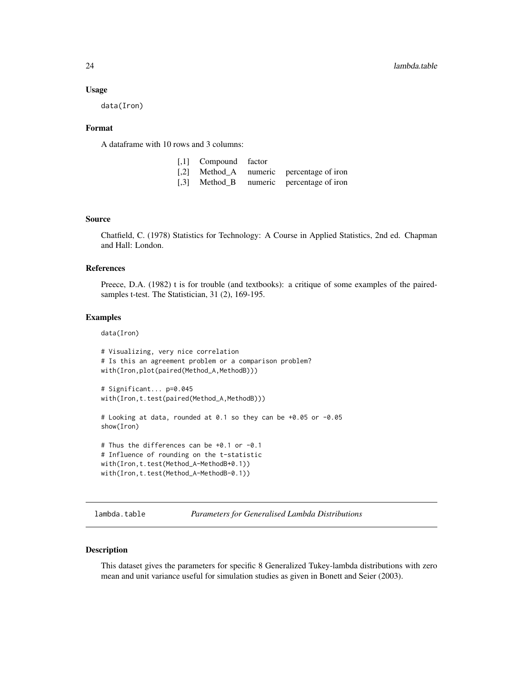#### <span id="page-23-0"></span>Usage

data(Iron)

#### Format

A dataframe with 10 rows and 3 columns:

| [,1] Compound factor |                                          |
|----------------------|------------------------------------------|
|                      | [,2] Method_A numeric percentage of iron |
|                      | [,3] Method_B numeric percentage of iron |

#### Source

Chatfield, C. (1978) Statistics for Technology: A Course in Applied Statistics, 2nd ed. Chapman and Hall: London.

# References

Preece, D.A. (1982) t is for trouble (and textbooks): a critique of some examples of the pairedsamples t-test. The Statistician, 31 (2), 169-195.

#### Examples

data(Iron)

```
# Visualizing, very nice correlation
# Is this an agreement problem or a comparison problem?
with(Iron,plot(paired(Method_A,MethodB)))
# Significant... p=0.045
with(Iron,t.test(paired(Method_A,MethodB)))
# Looking at data, rounded at 0.1 so they can be +0.05 or -0.05
show(Iron)
```

```
# Thus the differences can be +0.1 or -0.1
# Influence of rounding on the t-statistic
with(Iron,t.test(Method_A-MethodB+0.1))
with(Iron,t.test(Method_A-MethodB-0.1))
```
lambda.table *Parameters for Generalised Lambda Distributions*

#### Description

This dataset gives the parameters for specific 8 Generalized Tukey-lambda distributions with zero mean and unit variance useful for simulation studies as given in Bonett and Seier (2003).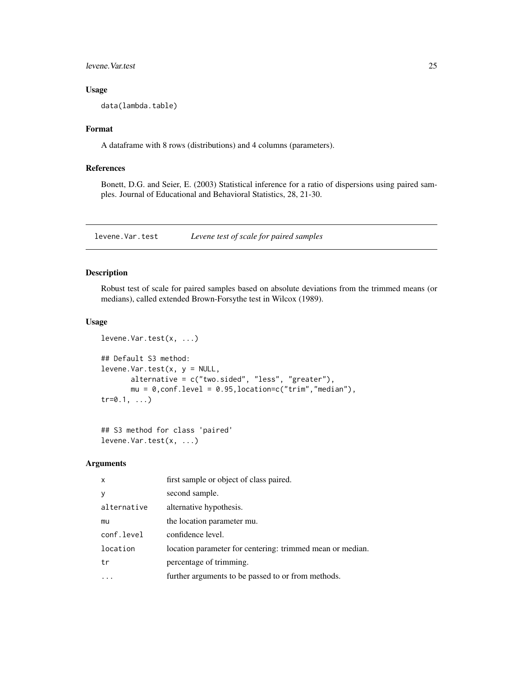<span id="page-24-0"></span>levene.Var.test 25

# Usage

data(lambda.table)

# Format

A dataframe with 8 rows (distributions) and 4 columns (parameters).

# References

Bonett, D.G. and Seier, E. (2003) Statistical inference for a ratio of dispersions using paired samples. Journal of Educational and Behavioral Statistics, 28, 21-30.

levene.Var.test *Levene test of scale for paired samples*

# Description

Robust test of scale for paired samples based on absolute deviations from the trimmed means (or medians), called extended Brown-Forsythe test in Wilcox (1989).

### Usage

```
levene.Var.test(x, ...)
## Default S3 method:
levene.Var.test(x, y = NULL,alternative = c("two.sided", "less", "greater"),
       mu = 0, conf.level = 0.95, location=c("trim", "median"),
tr=0.1, ...
```

```
## S3 method for class 'paired'
levene.Var.test(x, ...)
```
#### Arguments

| $\mathsf{x}$ | first sample or object of class paired.                   |
|--------------|-----------------------------------------------------------|
| y            | second sample.                                            |
| alternative  | alternative hypothesis.                                   |
| mu           | the location parameter mu.                                |
| conf.level   | confidence level.                                         |
| location     | location parameter for centering: trimmed mean or median. |
| tr           | percentage of trimming.                                   |
|              | further arguments to be passed to or from methods.        |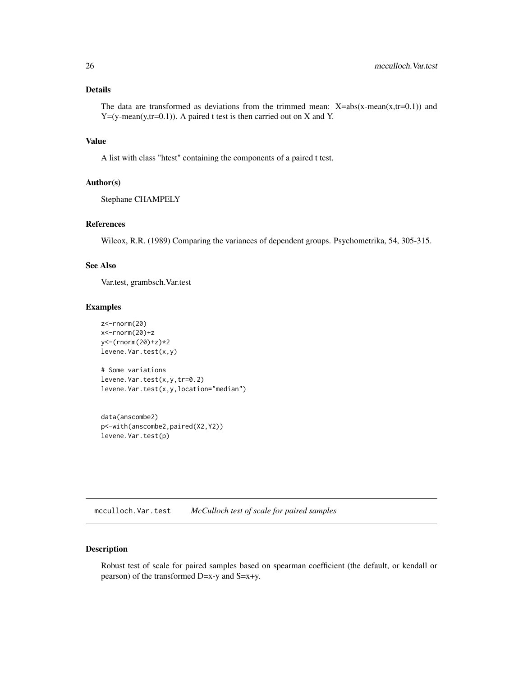# <span id="page-25-0"></span>Details

The data are transformed as deviations from the trimmed mean:  $X = abs(x-mean(x,tr=0.1))$  and  $Y=(y-mean(y,tr=0.1))$ . A paired t test is then carried out on X and Y.

# Value

A list with class "htest" containing the components of a paired t test.

# Author(s)

Stephane CHAMPELY

# References

Wilcox, R.R. (1989) Comparing the variances of dependent groups. Psychometrika, 54, 305-315.

### See Also

Var.test, grambsch.Var.test

# Examples

```
z<-rnorm(20)
x<-rnorm(20)+z
y<-(rnorm(20)+z)*2
levene.Var.test(x,y)
# Some variations
levene.Var.test(x,y,tr=0.2)
levene.Var.test(x,y,location="median")
```

```
data(anscombe2)
p<-with(anscombe2,paired(X2,Y2))
levene.Var.test(p)
```
mcculloch.Var.test *McCulloch test of scale for paired samples*

# Description

Robust test of scale for paired samples based on spearman coefficient (the default, or kendall or pearson) of the transformed D=x-y and S=x+y.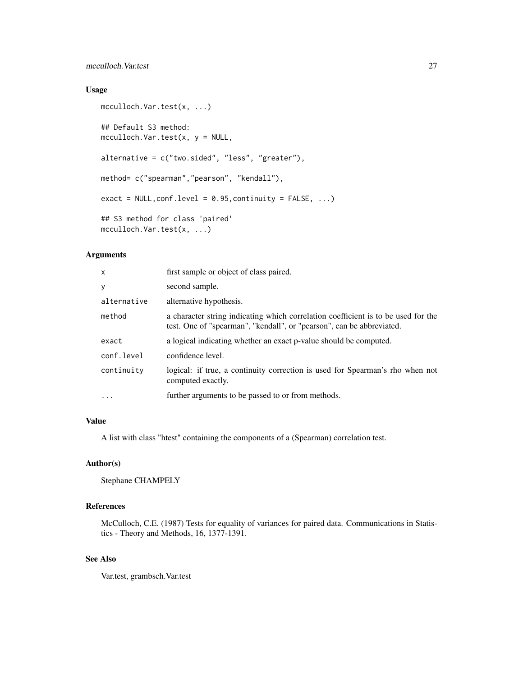# mcculloch.Var.test 27

# Usage

```
mcculloch.Var.test(x, ...)
## Default S3 method:
mcculloch.Var.test(x, y = NULL,alternative = c("two.sided", "less", "greater"),
method= c("spearman","pearson", "kendall"),
exact = NULL, conf.level = 0.95, continuity = FALSE, ...)
## S3 method for class 'paired'
mcculloch.Var.test(x, ...)
```
# Arguments

| $\mathsf{x}$ | first sample or object of class paired.                                                                                                                    |
|--------------|------------------------------------------------------------------------------------------------------------------------------------------------------------|
| У            | second sample.                                                                                                                                             |
| alternative  | alternative hypothesis.                                                                                                                                    |
| method       | a character string indicating which correlation coefficient is to be used for the<br>test. One of "spearman", "kendall", or "pearson", can be abbreviated. |
| exact        | a logical indicating whether an exact p-value should be computed.                                                                                          |
| conf.level   | confidence level.                                                                                                                                          |
| continuity   | logical: if true, a continuity correction is used for Spearman's rho when not<br>computed exactly.                                                         |
| .            | further arguments to be passed to or from methods.                                                                                                         |
|              |                                                                                                                                                            |

# Value

A list with class "htest" containing the components of a (Spearman) correlation test.

### Author(s)

Stephane CHAMPELY

# References

McCulloch, C.E. (1987) Tests for equality of variances for paired data. Communications in Statistics - Theory and Methods, 16, 1377-1391.

# See Also

Var.test, grambsch.Var.test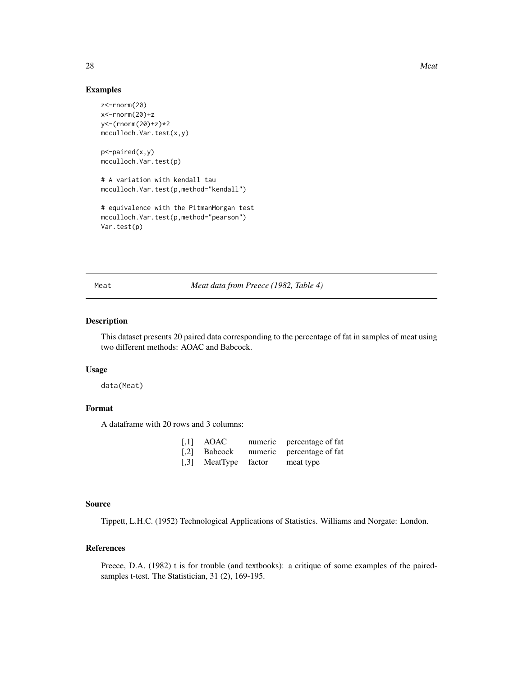### Examples

```
z<-rnorm(20)
x<-rnorm(20)+z
y<-(rnorm(20)+z)*2
mcculloch.Var.test(x,y)
```
p<-paired(x,y) mcculloch.Var.test(p)

# A variation with kendall tau mcculloch.Var.test(p,method="kendall")

# equivalence with the PitmanMorgan test mcculloch.Var.test(p,method="pearson") Var.test(p)

Meat *Meat data from Preece (1982, Table 4)*

### Description

This dataset presents 20 paired data corresponding to the percentage of fat in samples of meat using two different methods: AOAC and Babcock.

#### Usage

data(Meat)

# Format

A dataframe with 20 rows and 3 columns:

| $\left\lceil,1\right\rceil$ | AOAC                 | numeric percentage of fat |
|-----------------------------|----------------------|---------------------------|
|                             | $[2]$ Babcock        | numeric percentage of fat |
|                             | [,3] MeatType factor | meat type                 |

# Source

Tippett, L.H.C. (1952) Technological Applications of Statistics. Williams and Norgate: London.

# References

Preece, D.A. (1982) t is for trouble (and textbooks): a critique of some examples of the pairedsamples t-test. The Statistician, 31 (2), 169-195.

<span id="page-27-0"></span>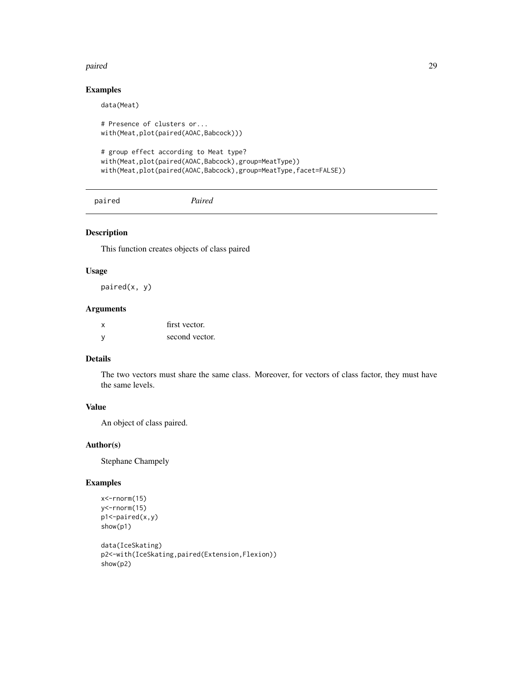#### <span id="page-28-0"></span>paired the contract of the contract of the contract of the contract of the contract of the contract of the contract of the contract of the contract of the contract of the contract of the contract of the contract of the con

# Examples

```
data(Meat)
# Presence of clusters or...
with(Meat,plot(paired(AOAC,Babcock)))
# group effect according to Meat type?
with(Meat,plot(paired(AOAC,Babcock),group=MeatType))
with(Meat,plot(paired(AOAC,Babcock),group=MeatType,facet=FALSE))
```
paired *Paired*

### Description

This function creates objects of class paired

#### Usage

paired(x, y)

# Arguments

|              | first vector.  |
|--------------|----------------|
| <sub>y</sub> | second vector. |

# Details

The two vectors must share the same class. Moreover, for vectors of class factor, they must have the same levels.

# Value

An object of class paired.

# Author(s)

Stephane Champely

```
x<-rnorm(15)
y<-rnorm(15)
p1<-paired(x,y)
show(p1)
```

```
data(IceSkating)
p2<-with(IceSkating,paired(Extension,Flexion))
show(p2)
```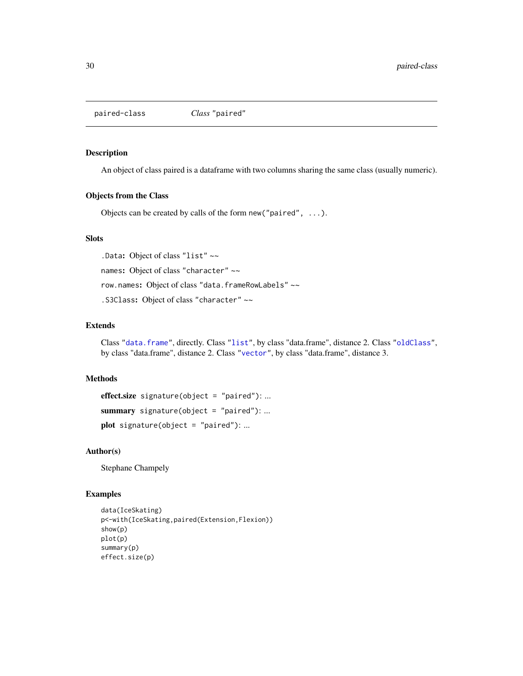<span id="page-29-0"></span>

#### Description

An object of class paired is a dataframe with two columns sharing the same class (usually numeric).

#### Objects from the Class

Objects can be created by calls of the form new("paired", ...).

# Slots

.Data: Object of class "list" ~~ names: Object of class "character" ~~ row.names: Object of class "data.frameRowLabels" ~~ .S3Class: Object of class "character" ~~

# Extends

Class ["data.frame"](#page-0-0), directly. Class ["list"](#page-0-0), by class "data.frame", distance 2. Class ["oldClass"](#page-0-0), by class "data.frame", distance 2. Class ["vector"](#page-0-0), by class "data.frame", distance 3.

#### Methods

```
effect.size signature(object = "paired"): ...
summary signature(object = "paired"): ...
plot signature(object = "paired"): ...
```
# Author(s)

Stephane Champely

```
data(IceSkating)
p<-with(IceSkating,paired(Extension,Flexion))
show(p)
plot(p)
summary(p)
effect.size(p)
```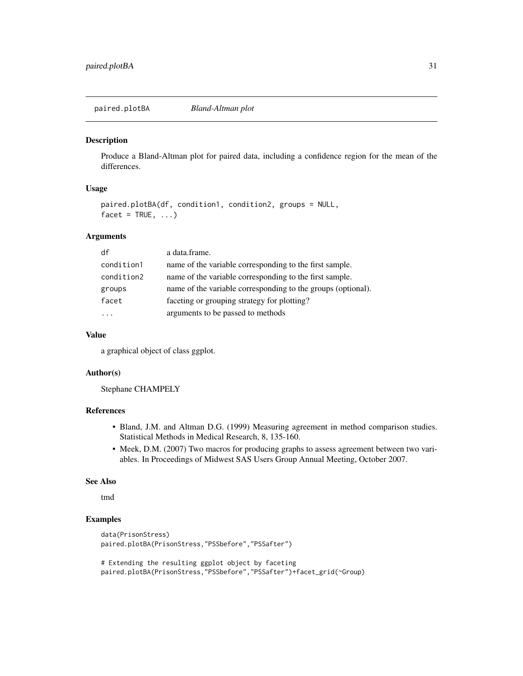<span id="page-30-0"></span>paired.plotBA *Bland-Altman plot*

# Description

Produce a Bland-Altman plot for paired data, including a confidence region for the mean of the differences.

# Usage

```
paired.plotBA(df, condition1, condition2, groups = NULL,
facet = TRUE, ...
```
### Arguments

| df         | a data.frame.                                                |
|------------|--------------------------------------------------------------|
| condition1 | name of the variable corresponding to the first sample.      |
| condition2 | name of the variable corresponding to the first sample.      |
| groups     | name of the variable corresponding to the groups (optional). |
| facet      | faceting or grouping strategy for plotting?                  |
| .          | arguments to be passed to methods                            |
|            |                                                              |

#### Value

a graphical object of class ggplot.

### Author(s)

Stephane CHAMPELY

# References

- Bland, J.M. and Altman D.G. (1999) Measuring agreement in method comparison studies. Statistical Methods in Medical Research, 8, 135-160.
- Meek, D.M. (2007) Two macros for producing graphs to assess agreement between two variables. In Proceedings of Midwest SAS Users Group Annual Meeting, October 2007.

#### See Also

tmd

```
data(PrisonStress)
paired.plotBA(PrisonStress,"PSSbefore","PSSafter")
```

```
# Extending the resulting ggplot object by faceting
paired.plotBA(PrisonStress,"PSSbefore","PSSafter")+facet_grid(~Group)
```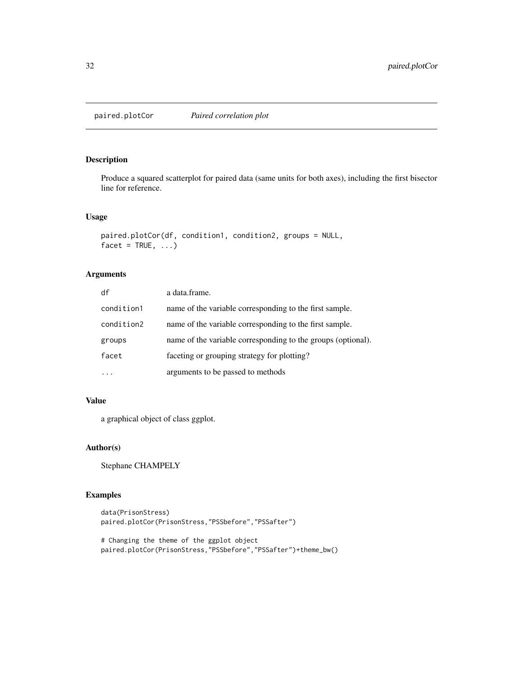<span id="page-31-0"></span>paired.plotCor *Paired correlation plot*

### Description

Produce a squared scatterplot for paired data (same units for both axes), including the first bisector line for reference.

# Usage

```
paired.plotCor(df, condition1, condition2, groups = NULL,
facet = TRUE, ...)
```
### Arguments

| df         | a data.frame.                                                |
|------------|--------------------------------------------------------------|
| condition1 | name of the variable corresponding to the first sample.      |
| condition2 | name of the variable corresponding to the first sample.      |
| groups     | name of the variable corresponding to the groups (optional). |
| facet      | faceting or grouping strategy for plotting?                  |
|            | arguments to be passed to methods                            |

### Value

a graphical object of class ggplot.

# Author(s)

Stephane CHAMPELY

```
data(PrisonStress)
paired.plotCor(PrisonStress,"PSSbefore","PSSafter")
```

```
# Changing the theme of the ggplot object
paired.plotCor(PrisonStress,"PSSbefore","PSSafter")+theme_bw()
```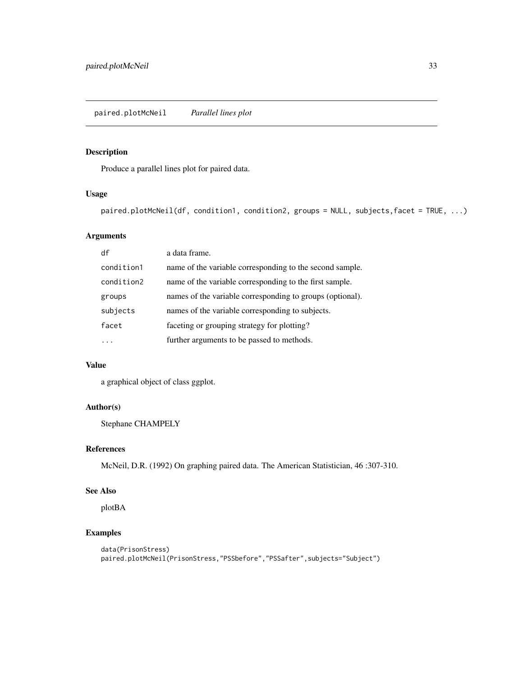<span id="page-32-0"></span>paired.plotMcNeil *Parallel lines plot*

### Description

Produce a parallel lines plot for paired data.

# Usage

paired.plotMcNeil(df, condition1, condition2, groups = NULL, subjects,facet = TRUE, ...)

# Arguments

| df         | a data frame.                                             |
|------------|-----------------------------------------------------------|
| condition1 | name of the variable corresponding to the second sample.  |
| condition2 | name of the variable corresponding to the first sample.   |
| groups     | names of the variable corresponding to groups (optional). |
| subjects   | names of the variable corresponding to subjects.          |
| facet      | faceting or grouping strategy for plotting?               |
|            | further arguments to be passed to methods.                |

# Value

a graphical object of class ggplot.

# Author(s)

Stephane CHAMPELY

# References

McNeil, D.R. (1992) On graphing paired data. The American Statistician, 46 :307-310.

# See Also

plotBA

```
data(PrisonStress)
paired.plotMcNeil(PrisonStress,"PSSbefore","PSSafter",subjects="Subject")
```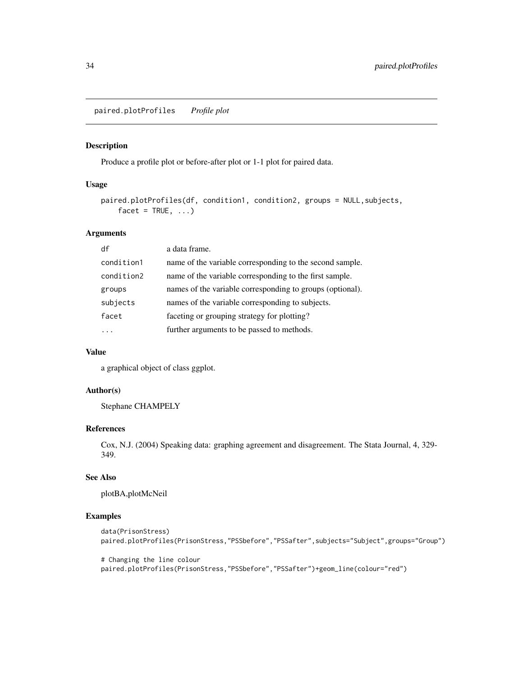<span id="page-33-0"></span>paired.plotProfiles *Profile plot*

# Description

Produce a profile plot or before-after plot or 1-1 plot for paired data.

#### Usage

```
paired.plotProfiles(df, condition1, condition2, groups = NULL,subjects,
   facet = TRUE, ...)
```
# Arguments

| a data frame.                                             |
|-----------------------------------------------------------|
| name of the variable corresponding to the second sample.  |
| name of the variable corresponding to the first sample.   |
| names of the variable corresponding to groups (optional). |
| names of the variable corresponding to subjects.          |
| faceting or grouping strategy for plotting?               |
| further arguments to be passed to methods.                |
|                                                           |

# Value

a graphical object of class ggplot.

# Author(s)

Stephane CHAMPELY

# References

Cox, N.J. (2004) Speaking data: graphing agreement and disagreement. The Stata Journal, 4, 329- 349.

#### See Also

plotBA,plotMcNeil

# Examples

```
data(PrisonStress)
paired.plotProfiles(PrisonStress,"PSSbefore","PSSafter",subjects="Subject",groups="Group")
```
# Changing the line colour paired.plotProfiles(PrisonStress,"PSSbefore","PSSafter")+geom\_line(colour="red")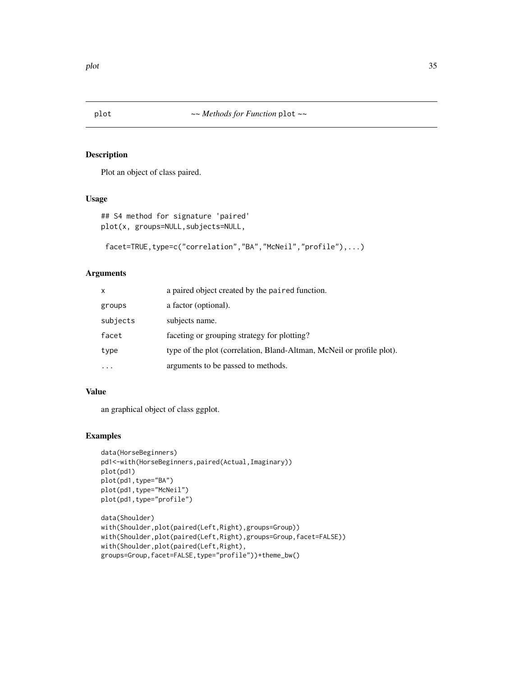<span id="page-34-0"></span>

# Description

Plot an object of class paired.

# Usage

```
## S4 method for signature 'paired'
plot(x, groups=NULL,subjects=NULL,
```

```
facet=TRUE,type=c("correlation","BA","McNeil","profile"),...)
```
# Arguments

| $\mathsf{x}$ | a paired object created by the paired function.                       |
|--------------|-----------------------------------------------------------------------|
| groups       | a factor (optional).                                                  |
| subjects     | subjects name.                                                        |
| facet        | faceting or grouping strategy for plotting?                           |
| type         | type of the plot (correlation, Bland-Altman, McNeil or profile plot). |
| $\cdots$     | arguments to be passed to methods.                                    |

#### Value

an graphical object of class ggplot.

```
data(HorseBeginners)
pd1<-with(HorseBeginners,paired(Actual,Imaginary))
plot(pd1)
plot(pd1,type="BA")
plot(pd1,type="McNeil")
plot(pd1,type="profile")
```

```
data(Shoulder)
with(Shoulder,plot(paired(Left,Right),groups=Group))
with(Shoulder,plot(paired(Left,Right),groups=Group,facet=FALSE))
with(Shoulder,plot(paired(Left,Right),
groups=Group,facet=FALSE,type="profile"))+theme_bw()
```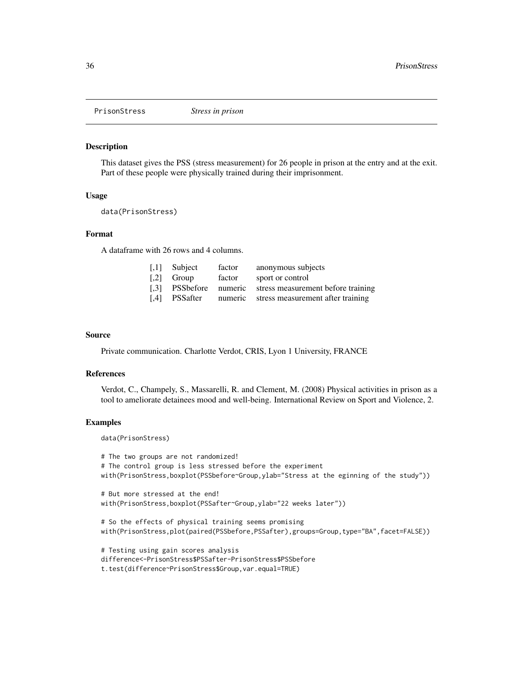<span id="page-35-0"></span>

#### Description

This dataset gives the PSS (stress measurement) for 26 people in prison at the entry and at the exit. Part of these people were physically trained during their imprisonment.

#### Usage

data(PrisonStress)

### Format

A dataframe with 26 rows and 4 columns.

| $\left[$ ,1] Subject      | factor | anonymous subjects                                        |
|---------------------------|--------|-----------------------------------------------------------|
| $\lbrack .2\rbrack$ Group | factor | sport or control                                          |
|                           |        | [.3] PSSbefore numeric stress measurement before training |
|                           |        | [,4] PSSafter numeric stress measurement after training   |

#### Source

Private communication. Charlotte Verdot, CRIS, Lyon 1 University, FRANCE

#### References

Verdot, C., Champely, S., Massarelli, R. and Clement, M. (2008) Physical activities in prison as a tool to ameliorate detainees mood and well-being. International Review on Sport and Violence, 2.

# Examples

data(PrisonStress)

```
# The two groups are not randomized!
# The control group is less stressed before the experiment
with(PrisonStress,boxplot(PSSbefore~Group,ylab="Stress at the eginning of the study"))
```

```
# But more stressed at the end!
with(PrisonStress,boxplot(PSSafter~Group,ylab="22 weeks later"))
```

```
# So the effects of physical training seems promising
with(PrisonStress,plot(paired(PSSbefore,PSSafter),groups=Group,type="BA",facet=FALSE))
```

```
# Testing using gain scores analysis
difference<-PrisonStress$PSSafter-PrisonStress$PSSbefore
t.test(difference~PrisonStress$Group,var.equal=TRUE)
```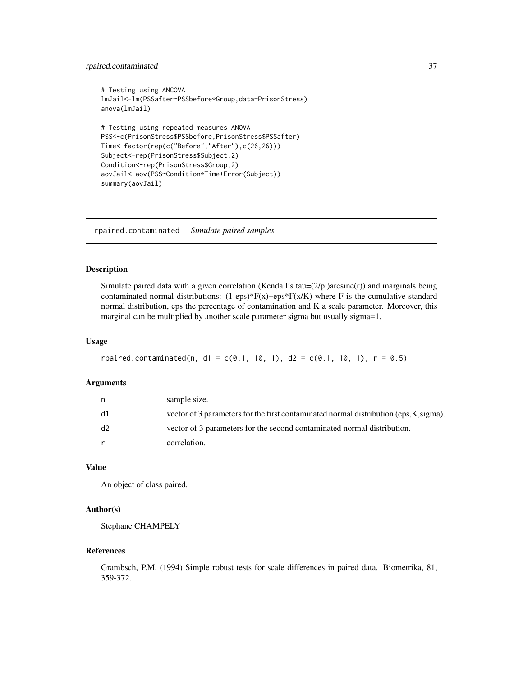# <span id="page-36-0"></span>rpaired.contaminated 37

```
# Testing using ANCOVA
lmJail<-lm(PSSafter~PSSbefore*Group,data=PrisonStress)
anova(lmJail)
# Testing using repeated measures ANOVA
PSS<-c(PrisonStress$PSSbefore,PrisonStress$PSSafter)
Time<-factor(rep(c("Before","After"),c(26,26)))
Subject<-rep(PrisonStress$Subject,2)
Condition<-rep(PrisonStress$Group,2)
aovJail<-aov(PSS~Condition*Time+Error(Subject))
summary(aovJail)
```
rpaired.contaminated *Simulate paired samples*

#### Description

Simulate paired data with a given correlation (Kendall's tau= $(2/pi)$ arcsine $(r)$ ) and marginals being contaminated normal distributions:  $(1-\epsilon ps)*F(x)+\epsilon ps*F(x/K)$  where F is the cumulative standard normal distribution, eps the percentage of contamination and K a scale parameter. Moreover, this marginal can be multiplied by another scale parameter sigma but usually sigma=1.

#### Usage

```
rpaired.contaminated(n, d1 = c(0.1, 10, 1), d2 = c(0.1, 10, 1), r = 0.5)
```
### Arguments

| n  | sample size.                                                                           |
|----|----------------------------------------------------------------------------------------|
| d1 | vector of 3 parameters for the first contaminated normal distribution (eps, K, sigma). |
| d2 | vector of 3 parameters for the second contaminated normal distribution.                |
| r  | correlation.                                                                           |

# Value

An object of class paired.

#### Author(s)

Stephane CHAMPELY

### References

Grambsch, P.M. (1994) Simple robust tests for scale differences in paired data. Biometrika, 81, 359-372.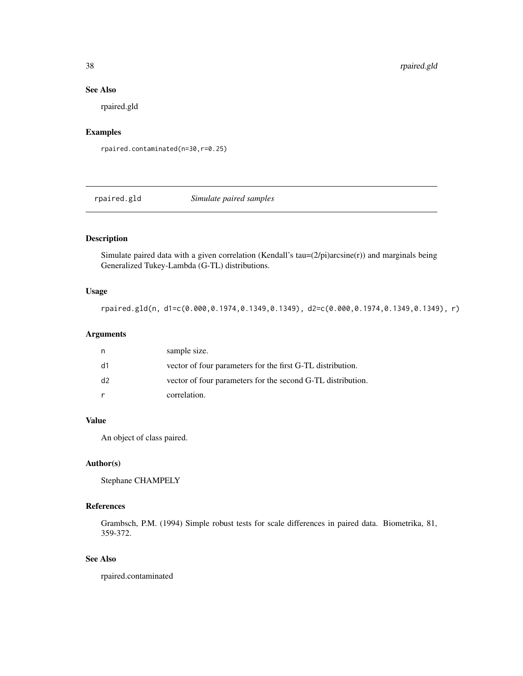### See Also

rpaired.gld

# Examples

rpaired.contaminated(n=30,r=0.25)

rpaired.gld *Simulate paired samples*

# Description

Simulate paired data with a given correlation (Kendall's tau= $(2/pi)$ arcsine $(r)$ ) and marginals being Generalized Tukey-Lambda (G-TL) distributions.

# Usage

```
rpaired.gld(n, d1=c(0.000,0.1974,0.1349,0.1349), d2=c(0.000,0.1974,0.1349,0.1349), r)
```
# Arguments

| n  | sample size.                                                |
|----|-------------------------------------------------------------|
| d1 | vector of four parameters for the first G-TL distribution.  |
| d2 | vector of four parameters for the second G-TL distribution. |
|    | correlation.                                                |

# Value

An object of class paired.

#### Author(s)

Stephane CHAMPELY

### References

Grambsch, P.M. (1994) Simple robust tests for scale differences in paired data. Biometrika, 81, 359-372.

# See Also

rpaired.contaminated

<span id="page-37-0"></span>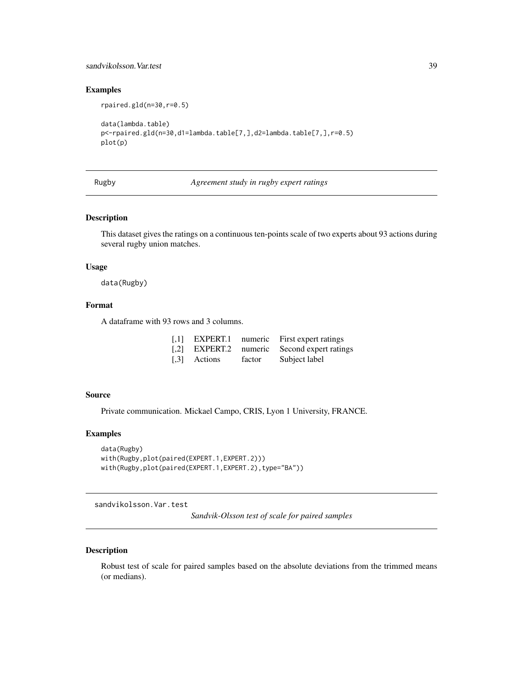# <span id="page-38-0"></span>sandvikolsson.Var.test 39

### Examples

```
rpaired.gld(n=30,r=0.5)
data(lambda.table)
p<-rpaired.gld(n=30,d1=lambda.table[7,],d2=lambda.table[7,],r=0.5)
plot(p)
```
Rugby *Agreement study in rugby expert ratings*

#### Description

This dataset gives the ratings on a continuous ten-points scale of two experts about 93 actions during several rugby union matches.

### Usage

data(Rugby)

# Format

A dataframe with 93 rows and 3 columns.

|              |        | [,1] EXPERT.1 numeric First expert ratings  |
|--------------|--------|---------------------------------------------|
|              |        | [,2] EXPERT.2 numeric Second expert ratings |
| [.3] Actions | factor | Subject label                               |

# Source

Private communication. Mickael Campo, CRIS, Lyon 1 University, FRANCE.

#### Examples

```
data(Rugby)
with(Rugby,plot(paired(EXPERT.1,EXPERT.2)))
with(Rugby,plot(paired(EXPERT.1,EXPERT.2),type="BA"))
```
sandvikolsson.Var.test

*Sandvik-Olsson test of scale for paired samples*

# Description

Robust test of scale for paired samples based on the absolute deviations from the trimmed means (or medians).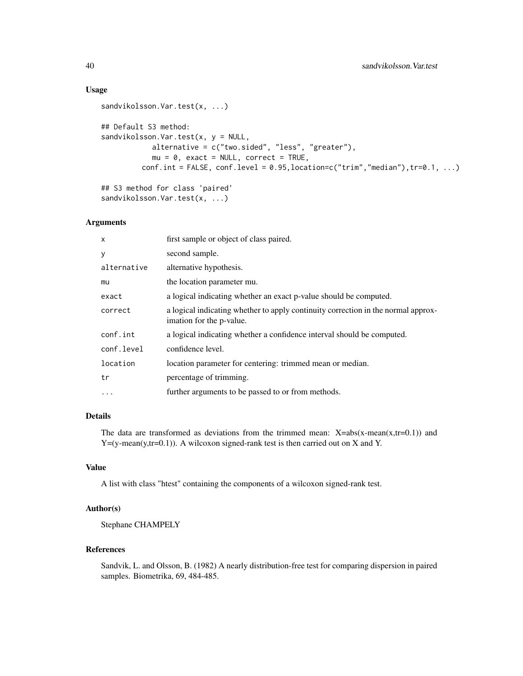### Usage

```
sandvikolsson.Var.test(x, ...)
## Default S3 method:
sandvikolsson.Var.test(x, y = NULL,
            alternative = c("two.sided", "less", "greater"),
            mu = 0, exact = NULL, correct = TRUE,
         conf.int = FALSE, conf.level = 0.95, location=c("trim","median"), tr=0.1, ...)
## S3 method for class 'paired'
sandvikolsson.Var.test(x, ...)
```
#### Arguments

| X           | first sample or object of class paired.                                                                       |
|-------------|---------------------------------------------------------------------------------------------------------------|
| У           | second sample.                                                                                                |
| alternative | alternative hypothesis.                                                                                       |
| mu          | the location parameter mu.                                                                                    |
| exact       | a logical indicating whether an exact p-value should be computed.                                             |
| correct     | a logical indicating whether to apply continuity correction in the normal approx-<br>imation for the p-value. |
| conf.int    | a logical indicating whether a confidence interval should be computed.                                        |
| conf.level  | confidence level.                                                                                             |
| location    | location parameter for centering: trimmed mean or median.                                                     |
| tr          | percentage of trimming.                                                                                       |
| $\ddots$ .  | further arguments to be passed to or from methods.                                                            |
|             |                                                                                                               |

# Details

The data are transformed as deviations from the trimmed mean:  $X=abs(x-mean(x,tr=0.1))$  and  $Y=(y-mean(y,tr=0.1))$ . A wilcoxon signed-rank test is then carried out on X and Y.

# Value

A list with class "htest" containing the components of a wilcoxon signed-rank test.

# Author(s)

Stephane CHAMPELY

# References

Sandvik, L. and Olsson, B. (1982) A nearly distribution-free test for comparing dispersion in paired samples. Biometrika, 69, 484-485.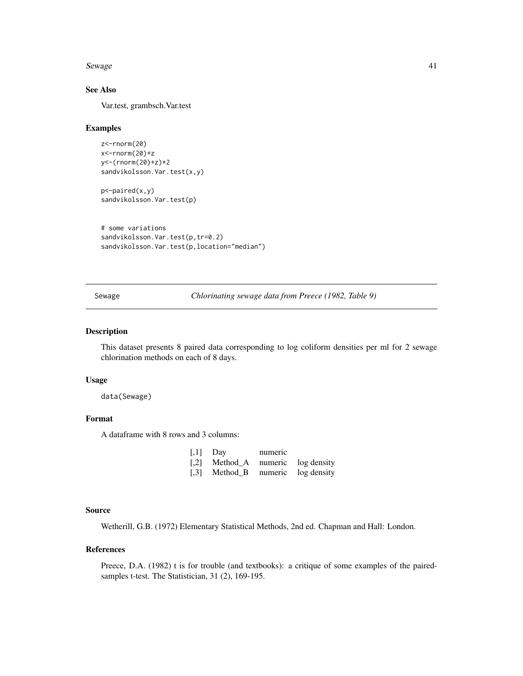<span id="page-40-0"></span>Sewage 21 August 2012 12:00 August 2012 12:00 August 2012 12:00 August 2012 12:00 August 2012 12:00 August 201

# See Also

Var.test, grambsch.Var.test

#### Examples

```
z<-rnorm(20)
x<-rnorm(20)+z
y<-(rnorm(20)+z)*2
sandvikolsson.Var.test(x,y)
```
p<-paired(x,y) sandvikolsson.Var.test(p)

```
# some variations
sandvikolsson.Var.test(p,tr=0.2)
sandvikolsson.Var.test(p,location="median")
```
Sewage *Chlorinating sewage data from Preece (1982, Table 9)*

#### Description

This dataset presents 8 paired data corresponding to log coliform densities per ml for 2 sewage chlorination methods on each of 8 days.

#### Usage

data(Sewage)

# Format

A dataframe with 8 rows and 3 columns:

| $[0,1]$ Day                       | numeric |  |
|-----------------------------------|---------|--|
| [,2] Method_A numeric log density |         |  |
| [,3] Method_B numeric log density |         |  |

# Source

Wetherill, G.B. (1972) Elementary Statistical Methods, 2nd ed. Chapman and Hall: London.

# References

Preece, D.A. (1982) t is for trouble (and textbooks): a critique of some examples of the pairedsamples t-test. The Statistician, 31 (2), 169-195.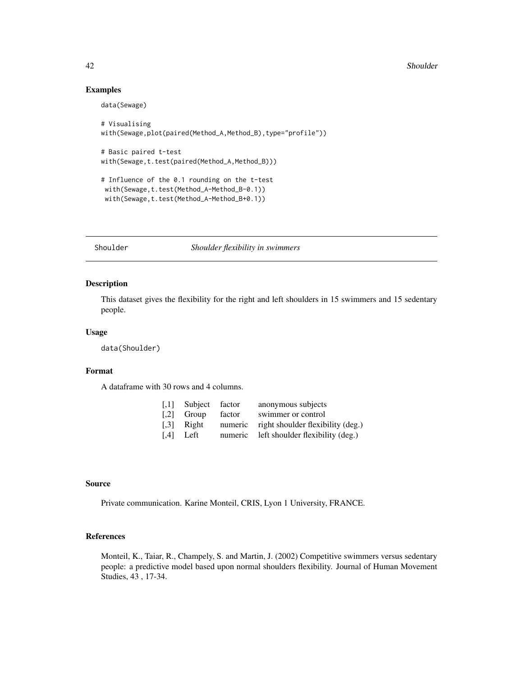#### 42 Shoulder

### Examples

data(Sewage)

```
# Visualising
with(Sewage,plot(paired(Method_A,Method_B),type="profile"))
# Basic paired t-test
with(Sewage,t.test(paired(Method_A,Method_B)))
# Influence of the 0.1 rounding on the t-test
with(Sewage,t.test(Method_A-Method_B-0.1))
with(Sewage,t.test(Method_A-Method_B+0.1))
```
Shoulder *Shoulder flexibility in swimmers*

### Description

This dataset gives the flexibility for the right and left shoulders in 15 swimmers and 15 sedentary people.

### Usage

data(Shoulder)

# Format

A dataframe with 30 rows and 4 columns.

|       |        | anonymous subjects                        |
|-------|--------|-------------------------------------------|
| Group | factor | swimmer or control                        |
| Right |        | numeric right shoulder flexibility (deg.) |
| Left  |        | numeric left shoulder flexibility (deg.)  |
|       |        | $\left[0.1\right]$ Subject factor         |

### Source

Private communication. Karine Monteil, CRIS, Lyon 1 University, FRANCE.

# References

Monteil, K., Taiar, R., Champely, S. and Martin, J. (2002) Competitive swimmers versus sedentary people: a predictive model based upon normal shoulders flexibility. Journal of Human Movement Studies, 43 , 17-34.

<span id="page-41-0"></span>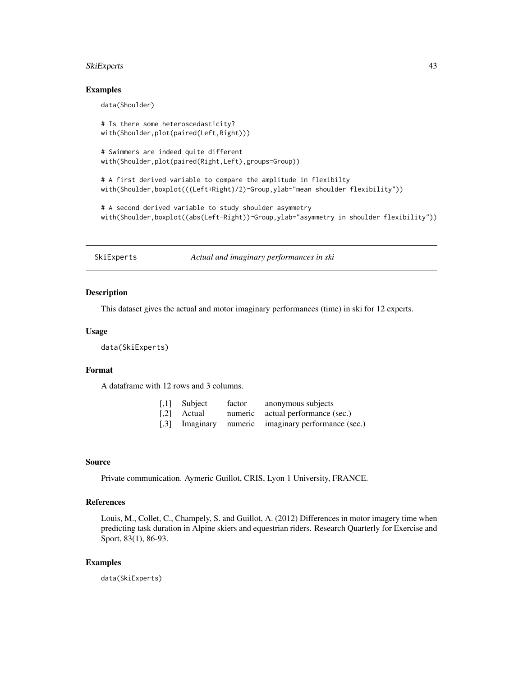#### <span id="page-42-0"></span>SkiExperts 43

### Examples

data(Shoulder)

```
# Is there some heteroscedasticity?
with(Shoulder,plot(paired(Left,Right)))
```

```
# Swimmers are indeed quite different
with(Shoulder,plot(paired(Right,Left),groups=Group))
```

```
# A first derived variable to compare the amplitude in flexibilty
with(Shoulder,boxplot(((Left+Right)/2)~Group,ylab="mean shoulder flexibility"))
```
# A second derived variable to study shoulder asymmetry with(Shoulder,boxplot((abs(Left-Right))~Group,ylab="asymmetry in shoulder flexibility"))

SkiExperts *Actual and imaginary performances in ski*

#### Description

This dataset gives the actual and motor imaginary performances (time) in ski for 12 experts.

#### Usage

data(SkiExperts)

### Format

A dataframe with 12 rows and 3 columns.

| $\left[$ ,1] Subject | factor | anonymous subjects                                  |
|----------------------|--------|-----------------------------------------------------|
| [.2] Actual          |        | numeric actual performance (sec.)                   |
|                      |        | [,3] Imaginary numeric imaginary performance (sec.) |

#### Source

Private communication. Aymeric Guillot, CRIS, Lyon 1 University, FRANCE.

### References

Louis, M., Collet, C., Champely, S. and Guillot, A. (2012) Differences in motor imagery time when predicting task duration in Alpine skiers and equestrian riders. Research Quarterly for Exercise and Sport, 83(1), 86-93.

#### Examples

data(SkiExperts)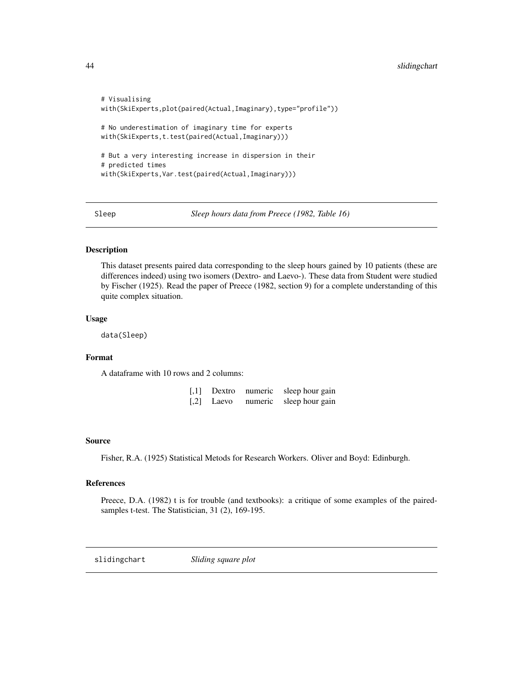```
# Visualising
with(SkiExperts,plot(paired(Actual,Imaginary),type="profile"))
# No underestimation of imaginary time for experts
with(SkiExperts,t.test(paired(Actual,Imaginary)))
# But a very interesting increase in dispersion in their
# predicted times
with(SkiExperts,Var.test(paired(Actual,Imaginary)))
```
Sleep *Sleep hours data from Preece (1982, Table 16)*

# Description

This dataset presents paired data corresponding to the sleep hours gained by 10 patients (these are differences indeed) using two isomers (Dextro- and Laevo-). These data from Student were studied by Fischer (1925). Read the paper of Preece (1982, section 9) for a complete understanding of this quite complex situation.

### Usage

data(Sleep)

### Format

A dataframe with 10 rows and 2 columns:

| $[$ | Dextro | numeric | sleep hour gain |
|-----|--------|---------|-----------------|
| $[$ | Laevo  | numeric | sleep hour gain |

#### Source

Fisher, R.A. (1925) Statistical Metods for Research Workers. Oliver and Boyd: Edinburgh.

### References

Preece, D.A. (1982) t is for trouble (and textbooks): a critique of some examples of the pairedsamples t-test. The Statistician, 31 (2), 169-195.

slidingchart *Sliding square plot*

<span id="page-43-0"></span>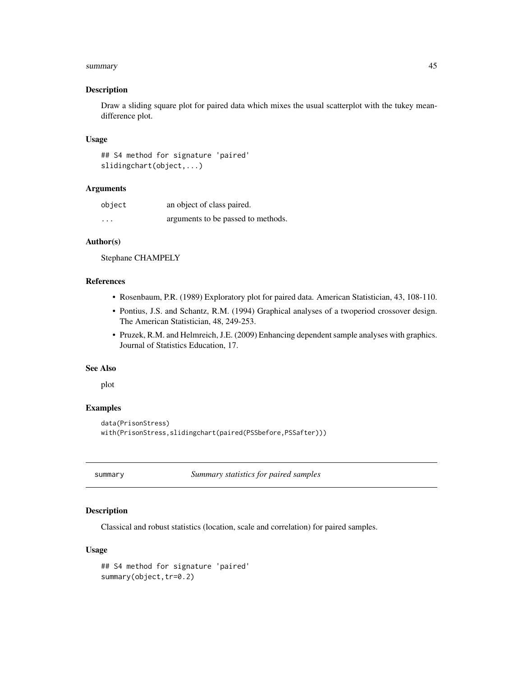#### <span id="page-44-0"></span>summary and the state of the state of the state of the state of the state of the state of the state of the state of the state of the state of the state of the state of the state of the state of the state of the state of th

#### Description

Draw a sliding square plot for paired data which mixes the usual scatterplot with the tukey meandifference plot.

#### Usage

## S4 method for signature 'paired' slidingchart(object,...)

### Arguments

| object   | an object of class paired.         |
|----------|------------------------------------|
| $\cdots$ | arguments to be passed to methods. |

# Author(s)

Stephane CHAMPELY

### References

- Rosenbaum, P.R. (1989) Exploratory plot for paired data. American Statistician, 43, 108-110.
- Pontius, J.S. and Schantz, R.M. (1994) Graphical analyses of a twoperiod crossover design. The American Statistician, 48, 249-253.
- Pruzek, R.M. and Helmreich, J.E. (2009) Enhancing dependent sample analyses with graphics. Journal of Statistics Education, 17.

#### See Also

plot

# Examples

```
data(PrisonStress)
with(PrisonStress,slidingchart(paired(PSSbefore,PSSafter)))
```
summary *Summary statistics for paired samples*

# Description

Classical and robust statistics (location, scale and correlation) for paired samples.

#### Usage

```
## S4 method for signature 'paired'
summary(object,tr=0.2)
```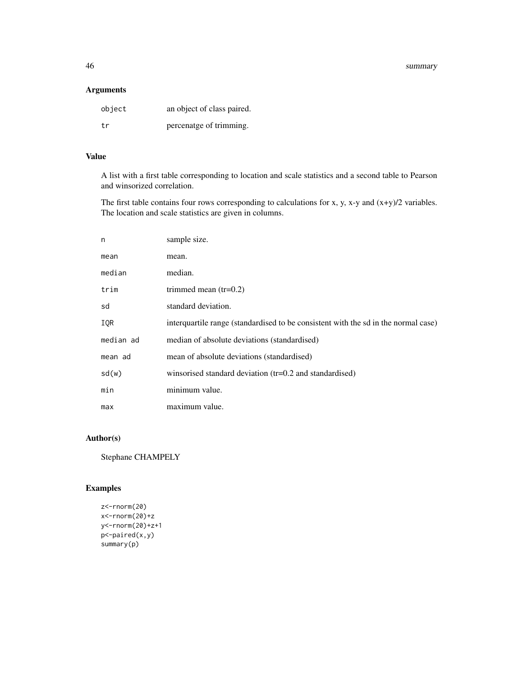46 summary

# Arguments

| object | an object of class paired. |
|--------|----------------------------|
| t.r    | percenatge of trimming.    |

# Value

A list with a first table corresponding to location and scale statistics and a second table to Pearson and winsorized correlation.

The first table contains four rows corresponding to calculations for x, y, x-y and (x+y)/2 variables. The location and scale statistics are given in columns.

| n         | sample size.                                                                       |
|-----------|------------------------------------------------------------------------------------|
| mean      | mean.                                                                              |
| median    | median.                                                                            |
| trim      | trimmed mean $(tr=0.2)$                                                            |
| sd        | standard deviation.                                                                |
| IQR       | interquartile range (standardised to be consistent with the sd in the normal case) |
| median ad | median of absolute deviations (standardised)                                       |
| mean ad   | mean of absolute deviations (standardised)                                         |
| sd(w)     | winsorised standard deviation (tr=0.2 and standardised)                            |
| min       | minimum value.                                                                     |
| max       | maximum value.                                                                     |

# Author(s)

Stephane CHAMPELY

```
z<-rnorm(20)
x<-rnorm(20)+z
y<-rnorm(20)+z+1
p<-paired(x,y)
summary(p)
```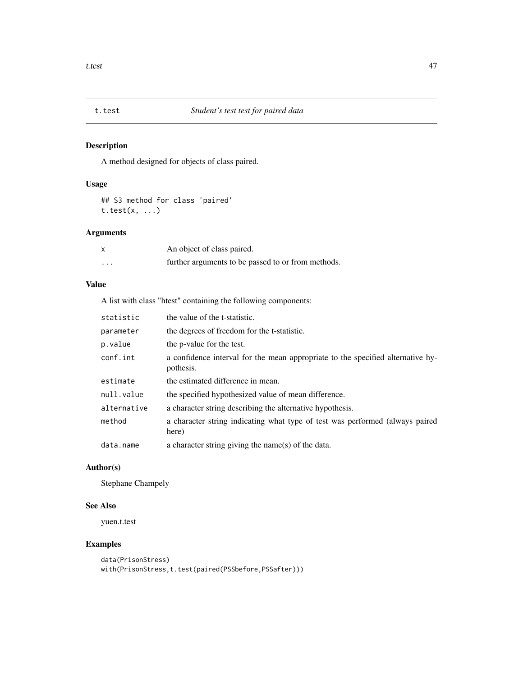<span id="page-46-0"></span>

# Description

A method designed for objects of class paired.

# Usage

## S3 method for class 'paired' t.test(x, ...)

# Arguments

|                         | An object of class paired.                         |
|-------------------------|----------------------------------------------------|
| $\cdot$ $\cdot$ $\cdot$ | further arguments to be passed to or from methods. |

# Value

A list with class "htest" containing the following components:

| statistic   | the value of the t-statistic.                                                                |
|-------------|----------------------------------------------------------------------------------------------|
| parameter   | the degrees of freedom for the t-statistic.                                                  |
| p.value     | the p-value for the test.                                                                    |
| conf.int    | a confidence interval for the mean appropriate to the specified alternative hy-<br>pothesis. |
| estimate    | the estimated difference in mean.                                                            |
| null.value  | the specified hypothesized value of mean difference.                                         |
| alternative | a character string describing the alternative hypothesis.                                    |
| method      | a character string indicating what type of test was performed (always paired<br>here)        |
| data.name   | a character string giving the name(s) of the data.                                           |

# Author(s)

Stephane Champely

# See Also

yuen.t.test

```
data(PrisonStress)
with(PrisonStress,t.test(paired(PSSbefore,PSSafter)))
```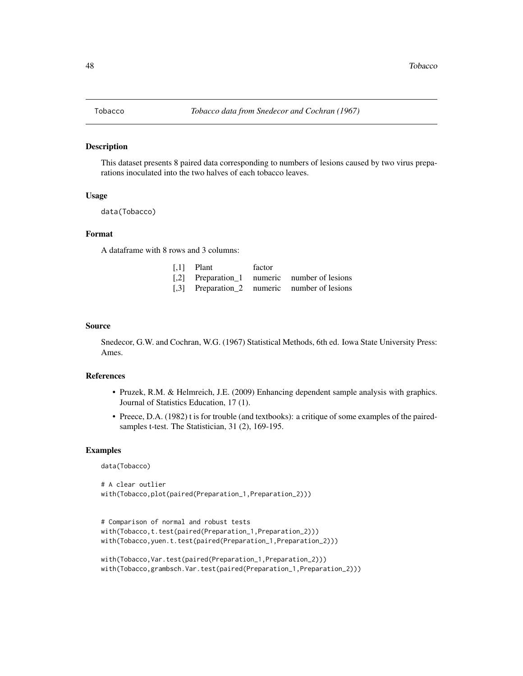<span id="page-47-0"></span>

#### Description

This dataset presents 8 paired data corresponding to numbers of lesions caused by two virus preparations inoculated into the two halves of each tobacco leaves.

#### Usage

data(Tobacco)

### Format

A dataframe with 8 rows and 3 columns:

| $\left[1\right]$ Plant | factor |                                              |
|------------------------|--------|----------------------------------------------|
|                        |        | [,2] Preparation_1 numeric number of lesions |
|                        |        | [,3] Preparation_2 numeric number of lesions |

#### Source

Snedecor, G.W. and Cochran, W.G. (1967) Statistical Methods, 6th ed. Iowa State University Press: Ames.

#### References

- Pruzek, R.M. & Helmreich, J.E. (2009) Enhancing dependent sample analysis with graphics. Journal of Statistics Education, 17 (1).
- Preece, D.A. (1982) t is for trouble (and textbooks): a critique of some examples of the pairedsamples t-test. The Statistician, 31 (2), 169-195.

#### Examples

data(Tobacco)

```
# A clear outlier
with(Tobacco,plot(paired(Preparation_1,Preparation_2)))
```

```
# Comparison of normal and robust tests
with(Tobacco,t.test(paired(Preparation_1,Preparation_2)))
with(Tobacco,yuen.t.test(paired(Preparation_1,Preparation_2)))
```

```
with(Tobacco,Var.test(paired(Preparation_1,Preparation_2)))
with(Tobacco,grambsch.Var.test(paired(Preparation_1,Preparation_2)))
```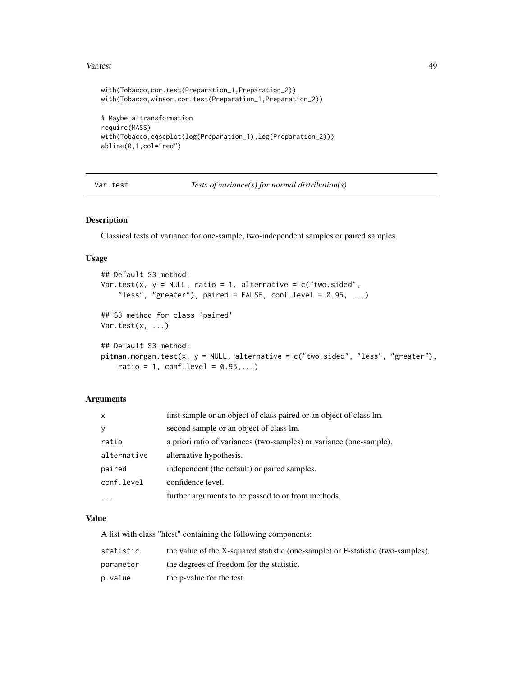#### <span id="page-48-0"></span>Var.test 49

```
with(Tobacco,cor.test(Preparation_1,Preparation_2))
with(Tobacco,winsor.cor.test(Preparation_1,Preparation_2))
# Maybe a transformation
require(MASS)
with(Tobacco,eqscplot(log(Preparation_1),log(Preparation_2)))
abline(0,1,col="red")
```
Var.test *Tests of variance(s) for normal distribution(s)*

# Description

Classical tests of variance for one-sample, two-independent samples or paired samples.

# Usage

```
## Default S3 method:
Var.test(x, y = NULL, ratio = 1, alternative = c("two.sided",
    "less", "greater"), paired = FALSE, conf.level = 0.95, ...)
## S3 method for class 'paired'
Var.test(x, \ldots)## Default S3 method:
pitman.morgan.test(x, y = NULL, alternative = c("two.sided", "less", "greater"),
    ratio = 1, conf.level = 0.95,...)
```
# Arguments

| $\mathsf{x}$ | first sample or an object of class paired or an object of class lm. |
|--------------|---------------------------------------------------------------------|
| V            | second sample or an object of class lm.                             |
| ratio        | a priori ratio of variances (two-samples) or variance (one-sample). |
| alternative  | alternative hypothesis.                                             |
| paired       | independent (the default) or paired samples.                        |
| conf.level   | confidence level.                                                   |
|              | further arguments to be passed to or from methods.                  |

#### Value

A list with class "htest" containing the following components:

| statistic | the value of the X-squared statistic (one-sample) or F-statistic (two-samples). |
|-----------|---------------------------------------------------------------------------------|
| parameter | the degrees of freedom for the statistic.                                       |
| p.value   | the p-value for the test.                                                       |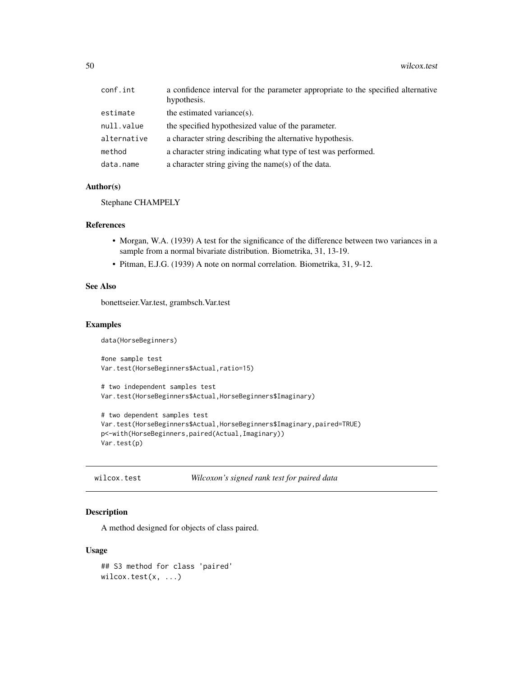<span id="page-49-0"></span>

| conf.int    | a confidence interval for the parameter appropriate to the specified alternative<br>hypothesis. |
|-------------|-------------------------------------------------------------------------------------------------|
| estimate    | the estimated variance(s).                                                                      |
| null.value  | the specified hypothesized value of the parameter.                                              |
| alternative | a character string describing the alternative hypothesis.                                       |
| method      | a character string indicating what type of test was performed.                                  |
| data.name   | a character string giving the name(s) of the data.                                              |

#### Author(s)

Stephane CHAMPELY

# References

- Morgan, W.A. (1939) A test for the significance of the difference between two variances in a sample from a normal bivariate distribution. Biometrika, 31, 13-19.
- Pitman, E.J.G. (1939) A note on normal correlation. Biometrika, 31, 9-12.

# See Also

bonettseier.Var.test, grambsch.Var.test

# Examples

```
data(HorseBeginners)
#one sample test
Var.test(HorseBeginners$Actual,ratio=15)
# two independent samples test
Var.test(HorseBeginners$Actual,HorseBeginners$Imaginary)
# two dependent samples test
Var.test(HorseBeginners$Actual,HorseBeginners$Imaginary,paired=TRUE)
p<-with(HorseBeginners,paired(Actual,Imaginary))
Var.test(p)
```
wilcox.test *Wilcoxon's signed rank test for paired data*

# Description

A method designed for objects of class paired.

#### Usage

```
## S3 method for class 'paired'
wilcox.test(x, ...)
```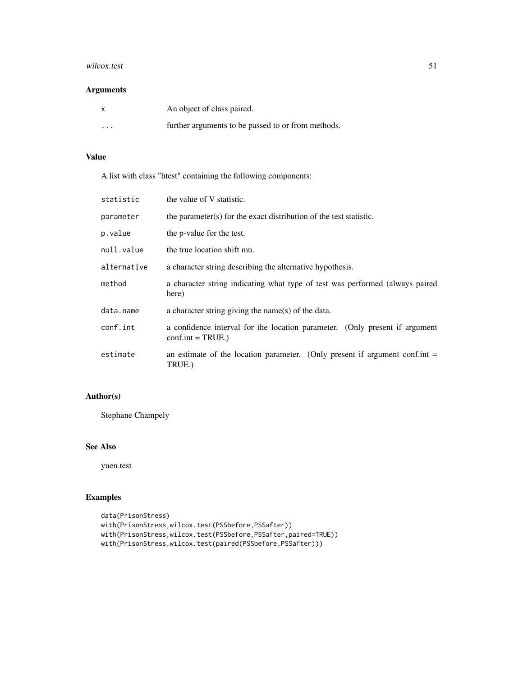#### wilcox.test 51

# Arguments

| X        | An object of class paired.                         |
|----------|----------------------------------------------------|
| $\cdots$ | further arguments to be passed to or from methods. |

# Value

A list with class "htest" containing the following components:

| statistic   | the value of V statistic.                                                                           |
|-------------|-----------------------------------------------------------------------------------------------------|
| parameter   | the parameter(s) for the exact distribution of the test statistic.                                  |
| p.value     | the p-value for the test.                                                                           |
| null.value  | the true location shift mu.                                                                         |
| alternative | a character string describing the alternative hypothesis.                                           |
| method      | a character string indicating what type of test was performed (always paired<br>here)               |
| data.name   | a character string giving the name(s) of the data.                                                  |
| conf.int    | a confidence interval for the location parameter. (Only present if argument<br>$conf.int = TRUE.$ ) |
| estimate    | an estimate of the location parameter. (Only present if argument conf.int $=$<br>TRUE.)             |

# Author(s)

Stephane Champely

# See Also

yuen.test

```
data(PrisonStress)
with(PrisonStress,wilcox.test(PSSbefore,PSSafter))
with(PrisonStress,wilcox.test(PSSbefore,PSSafter,paired=TRUE))
with(PrisonStress,wilcox.test(paired(PSSbefore,PSSafter)))
```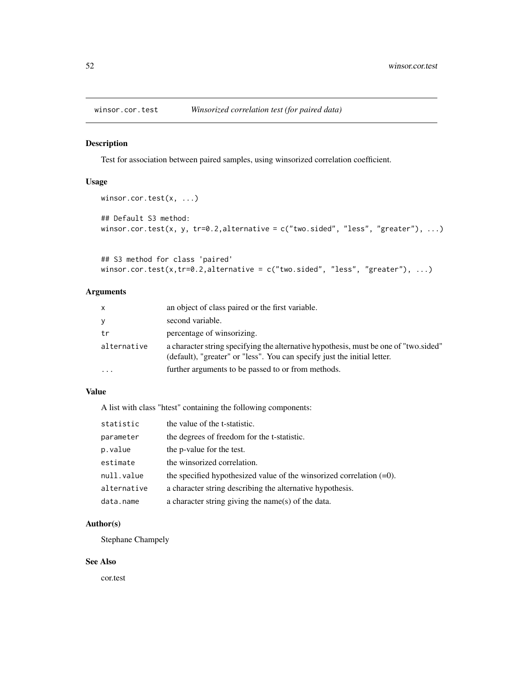<span id="page-51-0"></span>

#### Description

Test for association between paired samples, using winsorized correlation coefficient.

#### Usage

```
winsor.cor.test(x, ...)
## Default S3 method:
winsor.cor.test(x, y, tr=0.2,alternative = c("two-sided", "less", "greater"), ...)
```

```
## S3 method for class 'paired'
winsor.cor.test(x,tr=0.2,alternative = c("two-sided", "less", "greater"), ...)
```
# Arguments

| $\mathsf{x}$ | an object of class paired or the first variable.                                                                                                                 |
|--------------|------------------------------------------------------------------------------------------------------------------------------------------------------------------|
| У            | second variable.                                                                                                                                                 |
| tr           | percentage of winsorizing.                                                                                                                                       |
| alternative  | a character string specifying the alternative hypothesis, must be one of "two sided"<br>(default), "greater" or "less". You can specify just the initial letter. |
| $\cdots$     | further arguments to be passed to or from methods.                                                                                                               |

# Value

A list with class "htest" containing the following components:

| statistic   | the value of the t-statistic.                                           |
|-------------|-------------------------------------------------------------------------|
| parameter   | the degrees of freedom for the t-statistic.                             |
| p.value     | the p-value for the test.                                               |
| estimate    | the winsorized correlation.                                             |
| null.value  | the specified hypothesized value of the winsorized correlation $(=0)$ . |
| alternative | a character string describing the alternative hypothesis.               |
| data.name   | a character string giving the name(s) of the data.                      |

# Author(s)

Stephane Champely

### See Also

cor.test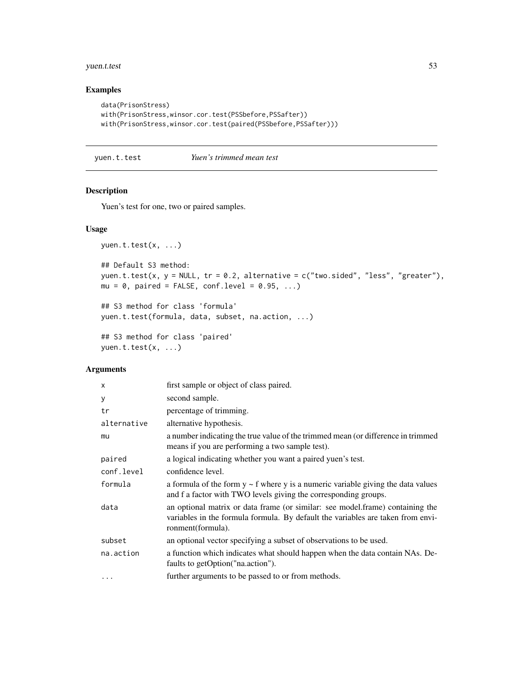# <span id="page-52-0"></span>yuen.t.test 53

# Examples

```
data(PrisonStress)
with(PrisonStress,winsor.cor.test(PSSbefore,PSSafter))
with(PrisonStress,winsor.cor.test(paired(PSSbefore,PSSafter)))
```
yuen.t.test *Yuen's trimmed mean test*

### Description

Yuen's test for one, two or paired samples.

#### Usage

```
yuen.t.test(x, ...)
## Default S3 method:
yuen.t.test(x, y = NULL, tr = 0.2, alternative = c("two.sided", "less", "greater"),
mu = 0, paired = FALSE, conf.level = 0.95, ...)
```

```
## S3 method for class 'formula'
yuen.t.test(formula, data, subset, na.action, ...)
```

```
## S3 method for class 'paired'
yuen.t.test(x, ...)
```
#### Arguments

| X           | first sample or object of class paired.                                                                                                                                               |
|-------------|---------------------------------------------------------------------------------------------------------------------------------------------------------------------------------------|
| у           | second sample.                                                                                                                                                                        |
| tr          | percentage of trimming.                                                                                                                                                               |
| alternative | alternative hypothesis.                                                                                                                                                               |
| mu          | a number indicating the true value of the trimmed mean (or difference in trimmed<br>means if you are performing a two sample test).                                                   |
| paired      | a logical indicating whether you want a paired yuen's test.                                                                                                                           |
| conf.level  | confidence level.                                                                                                                                                                     |
| formula     | a formula of the form $y \sim f$ where y is a numeric variable giving the data values<br>and f a factor with TWO levels giving the corresponding groups.                              |
| data        | an optional matrix or data frame (or similar: see model.frame) containing the<br>variables in the formula formula. By default the variables are taken from envi-<br>ronment(formula). |
| subset      | an optional vector specifying a subset of observations to be used.                                                                                                                    |
| na.action   | a function which indicates what should happen when the data contain NAs. De-<br>faults to getOption("na.action").                                                                     |
| $\cdots$    | further arguments to be passed to or from methods.                                                                                                                                    |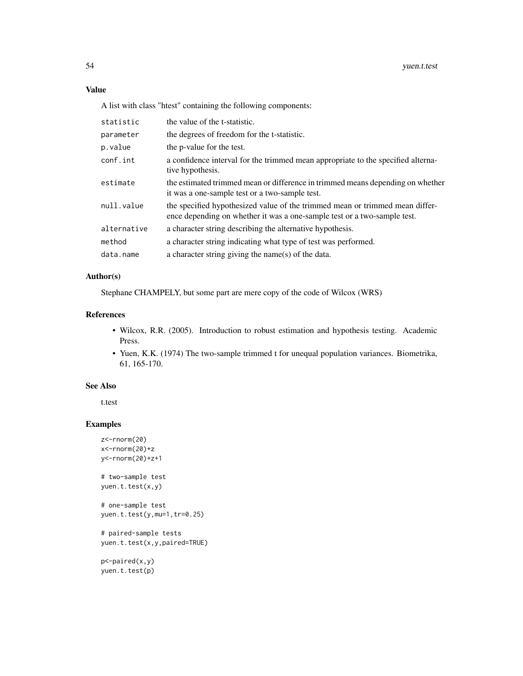# Value

A list with class "htest" containing the following components:

| statistic   | the value of the t-statistic.                                                                                                                            |
|-------------|----------------------------------------------------------------------------------------------------------------------------------------------------------|
| parameter   | the degrees of freedom for the t-statistic.                                                                                                              |
| p.value     | the p-value for the test.                                                                                                                                |
| conf.int    | a confidence interval for the trimmed mean appropriate to the specified alterna-<br>tive hypothesis.                                                     |
| estimate    | the estimated trimmed mean or difference in trimmed means depending on whether<br>it was a one-sample test or a two-sample test.                         |
| null.value  | the specified hypothesized value of the trimmed mean or trimmed mean differ-<br>ence depending on whether it was a one-sample test or a two-sample test. |
| alternative | a character string describing the alternative hypothesis.                                                                                                |
| method      | a character string indicating what type of test was performed.                                                                                           |
| data.name   | a character string giving the name(s) of the data.                                                                                                       |

# Author(s)

Stephane CHAMPELY, but some part are mere copy of the code of Wilcox (WRS)

# References

- Wilcox, R.R. (2005). Introduction to robust estimation and hypothesis testing. Academic Press.
- Yuen, K.K. (1974) The two-sample trimmed t for unequal population variances. Biometrika, 61, 165-170.

# See Also

t.test

### Examples

```
z<-rnorm(20)
x<-rnorm(20)+z
y<-rnorm(20)+z+1
```
# two-sample test yuen.t.test(x,y)

```
# one-sample test
yuen.t.test(y,mu=1,tr=0.25)
```
# paired-sample tests yuen.t.test(x,y,paired=TRUE)

p<-paired(x,y) yuen.t.test(p)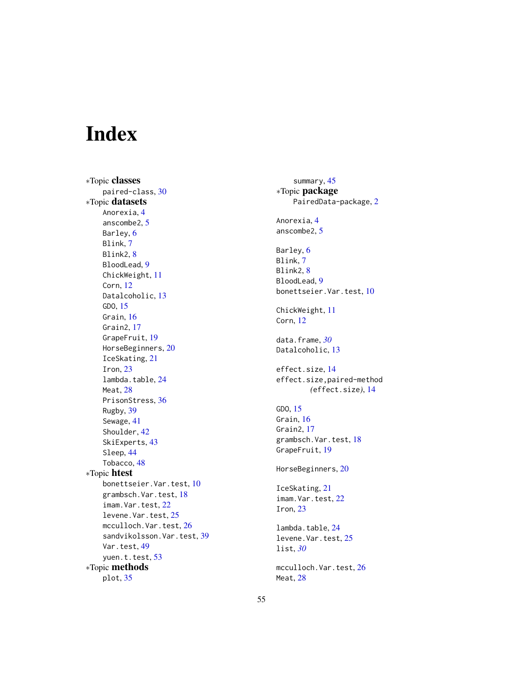# <span id="page-54-0"></span>Index

∗Topic classes paired-class, [30](#page-29-0) ∗Topic datasets Anorexia, [4](#page-3-0) anscombe2, [5](#page-4-0) Barley, [6](#page-5-0) Blink, [7](#page-6-0) Blink2, [8](#page-7-0) BloodLead, [9](#page-8-0) ChickWeight, [11](#page-10-0) Corn, [12](#page-11-0) Datalcoholic, [13](#page-12-0) GDO, [15](#page-14-0) Grain, [16](#page-15-0) Grain2, [17](#page-16-0) GrapeFruit, [19](#page-18-0) HorseBeginners, [20](#page-19-0) IceSkating, [21](#page-20-0) Iron, [23](#page-22-0) lambda.table, [24](#page-23-0) Meat, [28](#page-27-0) PrisonStress, [36](#page-35-0) Rugby, [39](#page-38-0) Sewage, [41](#page-40-0) Shoulder, [42](#page-41-0) SkiExperts, [43](#page-42-0) Sleep, [44](#page-43-0) Tobacco, [48](#page-47-0) ∗Topic htest bonettseier.Var.test, [10](#page-9-0) grambsch.Var.test, [18](#page-17-0) imam.Var.test, [22](#page-21-0) levene.Var.test, [25](#page-24-0) mcculloch.Var.test, [26](#page-25-0) sandvikolsson.Var.test, [39](#page-38-0) Var.test, [49](#page-48-0) yuen.t.test, [53](#page-52-0) ∗Topic methods plot, [35](#page-34-0)

summary, [45](#page-44-0) ∗Topic package PairedData-package, [2](#page-1-0) Anorexia, [4](#page-3-0) anscombe2, [5](#page-4-0) Barley, [6](#page-5-0) Blink, [7](#page-6-0) Blink2, [8](#page-7-0) BloodLead, [9](#page-8-0) bonettseier.Var.test, [10](#page-9-0) ChickWeight, [11](#page-10-0) Corn, [12](#page-11-0) data.frame, *[30](#page-29-0)* Datalcoholic, [13](#page-12-0) effect.size, [14](#page-13-0) effect.size,paired-method *(*effect.size*)*, [14](#page-13-0) GDO, [15](#page-14-0) Grain, [16](#page-15-0) Grain2, [17](#page-16-0) grambsch.Var.test, [18](#page-17-0) GrapeFruit, [19](#page-18-0) HorseBeginners, [20](#page-19-0) IceSkating, [21](#page-20-0) imam.Var.test, [22](#page-21-0) Iron, [23](#page-22-0) lambda.table, [24](#page-23-0) levene.Var.test, [25](#page-24-0) list, *[30](#page-29-0)* mcculloch.Var.test, [26](#page-25-0) Meat, [28](#page-27-0)